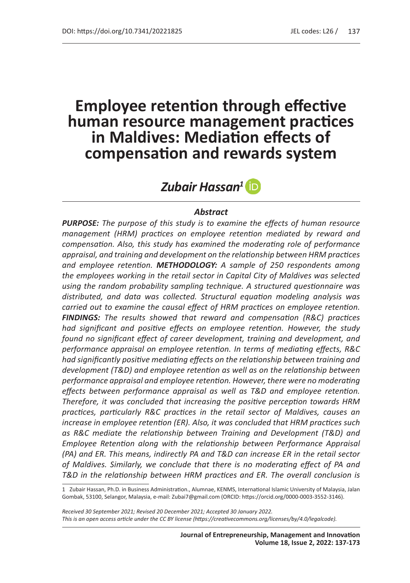# **Employee retention through effective human resource management practices in Maldives: Mediation effects of compensation and rewards system**

# *Zubair Hassan<sup>1</sup>*

#### *Abstract*

*PURPOSE: The purpose of this study is to examine the effects of human resource management (HRM) practices on employee retention mediated by reward and compensation. Also, this study has examined the moderating role of performance appraisal, and training and development on the relationship between HRM practices and employee retention. METHODOLOGY: A sample of 250 respondents among the employees working in the retail sector in Capital City of Maldives was selected using the random probability sampling technique. A structured questionnaire was distributed, and data was collected. Structural equation modeling analysis was carried out to examine the causal effect of HRM practices on employee retention. FINDINGS: The results showed that reward and compensation (R&C) practices had significant and positive effects on employee retention. However, the study found no significant effect of career development, training and development, and performance appraisal on employee retention. In terms of mediating effects, R&C had significantly positive mediating effects on the relationship between training and development (T&D) and employee retention as well as on the relationship between performance appraisal and employee retention. However, there were no moderating effects between performance appraisal as well as T&D and employee retention. Therefore, it was concluded that increasing the positive perception towards HRM practices, particularly R&C practices in the retail sector of Maldives, causes an increase in employee retention (ER). Also, it was concluded that HRM practices such as R&C mediate the relationship between Training and Development (T&D) and Employee Retention along with the relationship between Performance Appraisal (PA) and ER. This means, indirectly PA and T&D can increase ER in the retail sector of Maldives. Similarly, we conclude that there is no moderating effect of PA and T&D in the relationship between HRM practices and ER. The overall conclusion is* 

1 Zubair Hassan, Ph.D. in Business Administration., Alumnae, KENMS, International Islamic University of Malaysia, Jalan Gombak, 53100, Selangor, Malaysia, e-mail: Zubai7@gmail.com (ORCID: https://orcid.org/0000-0003-3552-3146).

*Received 30 September 2021; Revised 20 December 2021; Accepted 30 January 2022. This is an open access article under the CC BY license (https://creativecommons.org/licenses/by/4.0/legalcode).*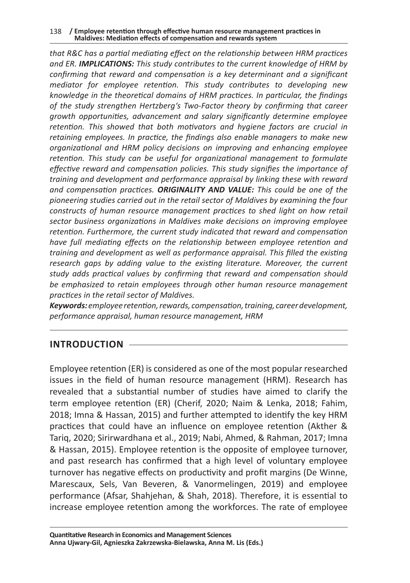#### 138 **/ Employee retention through effective human resource management practices in Maldives: Mediation effects of compensation and rewards system**

*that R&C has a partial mediating effect on the relationship between HRM practices and ER. IMPLICATIONS: This study contributes to the current knowledge of HRM by confirming that reward and compensation is a key determinant and a significant mediator for employee retention. This study contributes to developing new knowledge in the theoretical domains of HRM practices. In particular, the findings of the study strengthen Hertzberg's Two-Factor theory by confirming that career growth opportunities, advancement and salary significantly determine employee retention. This showed that both motivators and hygiene factors are crucial in retaining employees. In practice, the findings also enable managers to make new organizational and HRM policy decisions on improving and enhancing employee retention. This study can be useful for organizational management to formulate effective reward and compensation policies. This study signifies the importance of training and development and performance appraisal by linking these with reward and compensation practices. ORIGINALITY AND VALUE: This could be one of the pioneering studies carried out in the retail sector of Maldives by examining the four constructs of human resource management practices to shed light on how retail sector business organizations in Maldives make decisions on improving employee retention. Furthermore, the current study indicated that reward and compensation have full mediating effects on the relationship between employee retention and training and development as well as performance appraisal. This filled the existing*  research gaps by adding value to the existing literature. Moreover, the current *study adds practical values by confirming that reward and compensation should be emphasized to retain employees through other human resource management practices in the retail sector of Maldives.* 

*Keywords: employee retention, rewards, compensation, training, career development, performance appraisal, human resource management, HRM*

# **INTRODUCTION**

Employee retention (ER) is considered as one of the most popular researched issues in the field of human resource management (HRM). Research has revealed that a substantial number of studies have aimed to clarify the term employee retention (ER) (Cherif, 2020; Naim & Lenka, 2018; Fahim, 2018; Imna & Hassan, 2015) and further attempted to identify the key HRM practices that could have an influence on employee retention (Akther & Tariq, 2020; Sirirwardhana et al., 2019; Nabi, Ahmed, & Rahman, 2017; Imna & Hassan, 2015). Employee retention is the opposite of employee turnover, and past research has confirmed that a high level of voluntary employee turnover has negative effects on productivity and profit margins (De Winne, Marescaux, Sels, Van Beveren, & Vanormelingen, 2019) and employee performance (Afsar, Shahjehan, & Shah, 2018). Therefore, it is essential to increase employee retention among the workforces. The rate of employee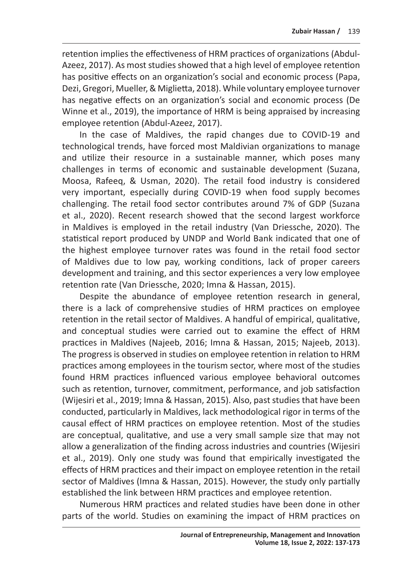retention implies the effectiveness of HRM practices of organizations (Abdul-Azeez, 2017). As most studies showed that a high level of employee retention has positive effects on an organization's social and economic process (Papa, Dezi, Gregori, Mueller, & Miglietta, 2018). While voluntary employee turnover has negative effects on an organization's social and economic process (De Winne et al., 2019), the importance of HRM is being appraised by increasing employee retention (Abdul-Azeez, 2017).

In the case of Maldives, the rapid changes due to COVID-19 and technological trends, have forced most Maldivian organizations to manage and utilize their resource in a sustainable manner, which poses many challenges in terms of economic and sustainable development (Suzana, Moosa, Rafeeq, & Usman, 2020). The retail food industry is considered very important, especially during COVID-19 when food supply becomes challenging. The retail food sector contributes around 7% of GDP (Suzana et al., 2020). Recent research showed that the second largest workforce in Maldives is employed in the retail industry (Van Driessche, 2020). The statistical report produced by UNDP and World Bank indicated that one of the highest employee turnover rates was found in the retail food sector of Maldives due to low pay, working conditions, lack of proper careers development and training, and this sector experiences a very low employee retention rate (Van Driessche, 2020; Imna & Hassan, 2015).

Despite the abundance of employee retention research in general, there is a lack of comprehensive studies of HRM practices on employee retention in the retail sector of Maldives. A handful of empirical, qualitative, and conceptual studies were carried out to examine the effect of HRM practices in Maldives (Najeeb, 2016; Imna & Hassan, 2015; Najeeb, 2013). The progress is observed in studies on employee retention in relation to HRM practices among employees in the tourism sector, where most of the studies found HRM practices influenced various employee behavioral outcomes such as retention, turnover, commitment, performance, and job satisfaction (Wijesiri et al., 2019; Imna & Hassan, 2015). Also, past studies that have been conducted, particularly in Maldives, lack methodological rigor in terms of the causal effect of HRM practices on employee retention. Most of the studies are conceptual, qualitative, and use a very small sample size that may not allow a generalization of the finding across industries and countries (Wijesiri et al., 2019). Only one study was found that empirically investigated the effects of HRM practices and their impact on employee retention in the retail sector of Maldives (Imna & Hassan, 2015). However, the study only partially established the link between HRM practices and employee retention.

Numerous HRM practices and related studies have been done in other parts of the world. Studies on examining the impact of HRM practices on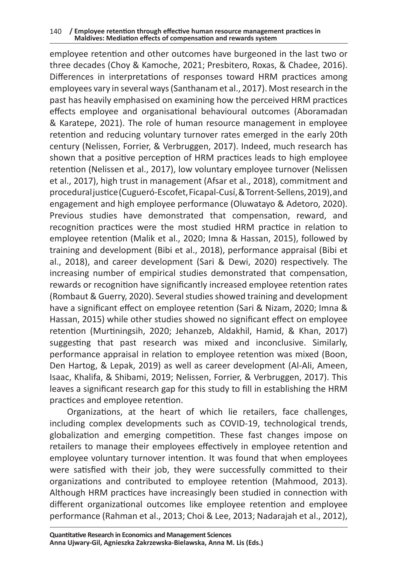#### 140 **/ Employee retention through effective human resource management practices in Maldives: Mediation effects of compensation and rewards system**

employee retention and other outcomes have burgeoned in the last two or three decades (Choy & Kamoche, 2021; Presbitero, Roxas, & Chadee, 2016). Differences in interpretations of responses toward HRM practices among employees vary in several ways (Santhanam et al., 2017). Most research in the past has heavily emphasised on examining how the perceived HRM practices effects employee and organisational behavioural outcomes (Aboramadan & Karatepe, 2021). The role of human resource management in employee retention and reducing voluntary turnover rates emerged in the early 20th century (Nelissen, Forrier, & Verbruggen, 2017). Indeed, much research has shown that a positive perception of HRM practices leads to high employee retention (Nelissen et al., 2017), low voluntary employee turnover (Nelissen et al., 2017), high trust in management (Afsar et al., 2018), commitment and procedural justice (Cugueró-Escofet, Ficapal-Cusí, & Torrent-Sellens,2019), and engagement and high employee performance (Oluwatayo & Adetoro, 2020). Previous studies have demonstrated that compensation, reward, and recognition practices were the most studied HRM practice in relation to employee retention (Malik et al., 2020; Imna & Hassan, 2015), followed by training and development (Bibi et al., 2018), performance appraisal (Bibi et al., 2018), and career development (Sari & Dewi, 2020) respectively. The increasing number of empirical studies demonstrated that compensation, rewards or recognition have significantly increased employee retention rates (Rombaut & Guerry, 2020). Several studies showed training and development have a significant effect on employee retention (Sari & Nizam, 2020; Imna & Hassan, 2015) while other studies showed no significant effect on employee retention (Murtiningsih, 2020; Jehanzeb, Aldakhil, Hamid, & Khan, 2017) suggesting that past research was mixed and inconclusive. Similarly, performance appraisal in relation to employee retention was mixed (Boon, Den Hartog, & Lepak, 2019) as well as career development (Al-Ali, Ameen, Isaac, Khalifa, & Shibami, 2019; Nelissen, Forrier, & Verbruggen, 2017). This leaves a significant research gap for this study to fill in establishing the HRM practices and employee retention.

Organizations, at the heart of which lie retailers, face challenges, including complex developments such as COVID-19, technological trends, globalization and emerging competition. These fast changes impose on retailers to manage their employees effectively in employee retention and employee voluntary turnover intention. It was found that when employees were satisfied with their job, they were successfully committed to their organizations and contributed to employee retention (Mahmood, 2013). Although HRM practices have increasingly been studied in connection with different organizational outcomes like employee retention and employee performance (Rahman et al., 2013; Choi & Lee, 2013; Nadarajah et al., 2012),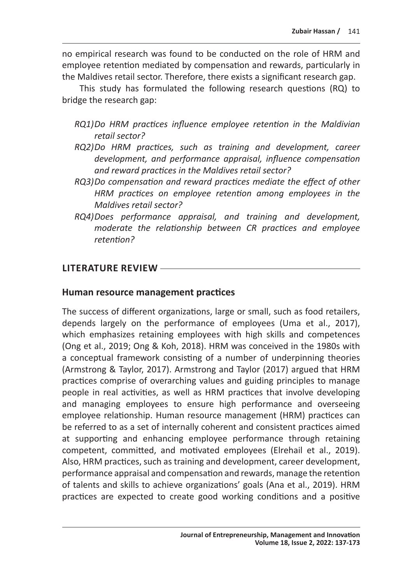no empirical research was found to be conducted on the role of HRM and employee retention mediated by compensation and rewards, particularly in the Maldives retail sector. Therefore, there exists a significant research gap.

This study has formulated the following research questions (RQ) to bridge the research gap:

- *RQ1)Do HRM practices influence employee retention in the Maldivian retail sector?*
- *RQ2)Do HRM practices, such as training and development, career development, and performance appraisal, influence compensation and reward practices in the Maldives retail sector?*
- *RQ3)Do compensation and reward practices mediate the effect of other HRM practices on employee retention among employees in the Maldives retail sector?*
- *RQ4)Does performance appraisal, and training and development, moderate the relationship between CR practices and employee retention?*

#### **LITERATURE REVIEW**

#### **Human resource management practices**

The success of different organizations, large or small, such as food retailers, depends largely on the performance of employees (Uma et al., 2017), which emphasizes retaining employees with high skills and competences (Ong et al., 2019; Ong & Koh, 2018). HRM was conceived in the 1980s with a conceptual framework consisting of a number of underpinning theories (Armstrong & Taylor, 2017). Armstrong and Taylor (2017) argued that HRM practices comprise of overarching values and guiding principles to manage people in real activities, as well as HRM practices that involve developing and managing employees to ensure high performance and overseeing employee relationship. Human resource management (HRM) practices can be referred to as a set of internally coherent and consistent practices aimed at supporting and enhancing employee performance through retaining competent, committed, and motivated employees (Elrehail et al., 2019). Also, HRM practices, such as training and development, career development, performance appraisal and compensation and rewards, manage the retention of talents and skills to achieve organizations' goals (Ana et al., 2019). HRM practices are expected to create good working conditions and a positive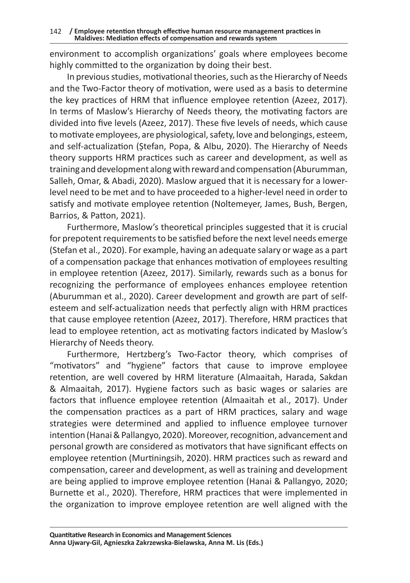environment to accomplish organizations' goals where employees become highly committed to the organization by doing their best.

In previous studies, motivational theories, such as the Hierarchy of Needs and the Two-Factor theory of motivation, were used as a basis to determine the key practices of HRM that influence employee retention (Azeez, 2017). In terms of Maslow's Hierarchy of Needs theory, the motivating factors are divided into five levels (Azeez, 2017). These five levels of needs, which cause to motivate employees, are physiological, safety, love and belongings, esteem, and self-actualization (Ștefan, Popa, & Albu, 2020). The Hierarchy of Needs theory supports HRM practices such as career and development, as well as training and development along with reward and compensation (Aburumman, Salleh, Omar, & Abadi, 2020). Maslow argued that it is necessary for a lowerlevel need to be met and to have proceeded to a higher-level need in order to satisfy and motivate employee retention (Noltemeyer, James, Bush, Bergen, Barrios, & Patton, 2021).

Furthermore, Maslow's theoretical principles suggested that it is crucial for prepotent requirements to be satisfied before the next level needs emerge (Stefan et al., 2020). For example, having an adequate salary or wage as a part of a compensation package that enhances motivation of employees resulting in employee retention (Azeez, 2017). Similarly, rewards such as a bonus for recognizing the performance of employees enhances employee retention (Aburumman et al., 2020). Career development and growth are part of selfesteem and self-actualization needs that perfectly align with HRM practices that cause employee retention (Azeez, 2017). Therefore, HRM practices that lead to employee retention, act as motivating factors indicated by Maslow's Hierarchy of Needs theory.

Furthermore, Hertzberg's Two-Factor theory, which comprises of "motivators" and "hygiene" factors that cause to improve employee retention, are well covered by HRM literature (Almaaitah, Harada, Sakdan & Almaaitah, 2017). Hygiene factors such as basic wages or salaries are factors that influence employee retention (Almaaitah et al., 2017). Under the compensation practices as a part of HRM practices, salary and wage strategies were determined and applied to influence employee turnover intention (Hanai & Pallangyo, 2020). Moreover, recognition, advancement and personal growth are considered as motivators that have significant effects on employee retention (Murtiningsih, 2020). HRM practices such as reward and compensation, career and development, as well as training and development are being applied to improve employee retention (Hanai & Pallangyo, 2020; Burnette et al., 2020). Therefore, HRM practices that were implemented in the organization to improve employee retention are well aligned with the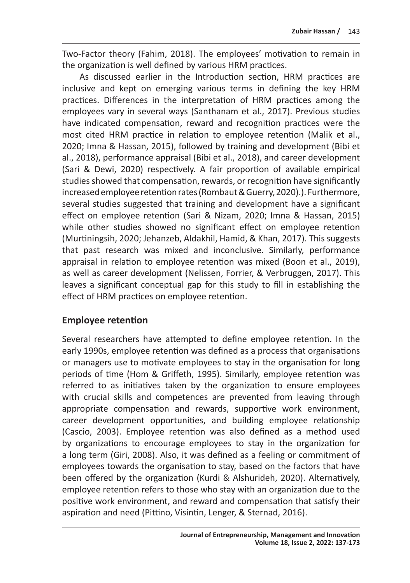Two-Factor theory (Fahim, 2018). The employees' motivation to remain in the organization is well defined by various HRM practices.

As discussed earlier in the Introduction section, HRM practices are inclusive and kept on emerging various terms in defining the key HRM practices. Differences in the interpretation of HRM practices among the employees vary in several ways (Santhanam et al., 2017). Previous studies have indicated compensation, reward and recognition practices were the most cited HRM practice in relation to employee retention (Malik et al., 2020; Imna & Hassan, 2015), followed by training and development (Bibi et al., 2018), performance appraisal (Bibi et al., 2018), and career development (Sari & Dewi, 2020) respectively. A fair proportion of available empirical studies showed that compensation, rewards, or recognition have significantly increased employee retention rates (Rombaut & Guerry, 2020).). Furthermore, several studies suggested that training and development have a significant effect on employee retention (Sari & Nizam, 2020; Imna & Hassan, 2015) while other studies showed no significant effect on employee retention (Murtiningsih, 2020; Jehanzeb, Aldakhil, Hamid, & Khan, 2017). This suggests that past research was mixed and inconclusive. Similarly, performance appraisal in relation to employee retention was mixed (Boon et al., 2019), as well as career development (Nelissen, Forrier, & Verbruggen, 2017). This leaves a significant conceptual gap for this study to fill in establishing the effect of HRM practices on employee retention.

#### **Employee retention**

Several researchers have attempted to define employee retention. In the early 1990s, employee retention was defined as a process that organisations or managers use to motivate employees to stay in the organisation for long periods of time (Hom & Griffeth, 1995). Similarly, employee retention was referred to as initiatives taken by the organization to ensure employees with crucial skills and competences are prevented from leaving through appropriate compensation and rewards, supportive work environment, career development opportunities, and building employee relationship (Cascio, 2003). Employee retention was also defined as a method used by organizations to encourage employees to stay in the organization for a long term (Giri, 2008). Also, it was defined as a feeling or commitment of employees towards the organisation to stay, based on the factors that have been offered by the organization (Kurdi & Alshurideh, 2020). Alternatively, employee retention refers to those who stay with an organization due to the positive work environment, and reward and compensation that satisfy their aspiration and need (Pittino, Visintin, Lenger, & Sternad, 2016).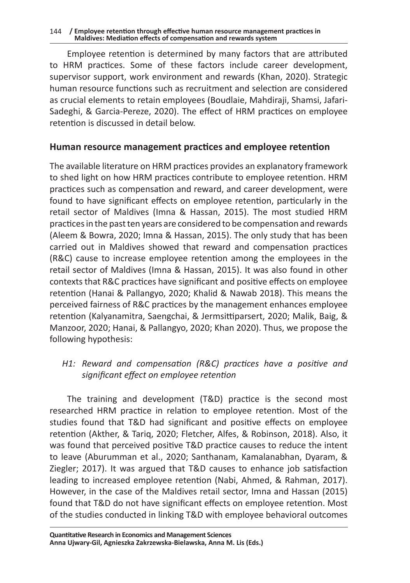Employee retention is determined by many factors that are attributed to HRM practices. Some of these factors include career development, supervisor support, work environment and rewards (Khan, 2020). Strategic human resource functions such as recruitment and selection are considered as crucial elements to retain employees (Boudlaie, Mahdiraji, Shamsi, Jafari-Sadeghi, & Garcia-Pereze, 2020). The effect of HRM practices on employee retention is discussed in detail below.

#### **Human resource management practices and employee retention**

The available literature on HRM practices provides an explanatory framework to shed light on how HRM practices contribute to employee retention. HRM practices such as compensation and reward, and career development, were found to have significant effects on employee retention, particularly in the retail sector of Maldives (Imna & Hassan, 2015). The most studied HRM practices in the past ten years are considered to be compensation and rewards (Aleem & Bowra, 2020; Imna & Hassan, 2015). The only study that has been carried out in Maldives showed that reward and compensation practices (R&C) cause to increase employee retention among the employees in the retail sector of Maldives (Imna & Hassan, 2015). It was also found in other contexts that R&C practices have significant and positive effects on employee retention (Hanai & Pallangyo, 2020; Khalid & Nawab 2018). This means the perceived fairness of R&C practices by the management enhances employee retention (Kalyanamitra, Saengchai, & Jermsittiparsert, 2020; Malik, Baig, & Manzoor, 2020; Hanai, & Pallangyo, 2020; Khan 2020). Thus, we propose the following hypothesis:

#### *H1: Reward and compensation (R&C) practices have a positive and significant effect on employee retention*

The training and development (T&D) practice is the second most researched HRM practice in relation to employee retention. Most of the studies found that T&D had significant and positive effects on employee retention (Akther, & Tariq, 2020; Fletcher, Alfes, & Robinson, 2018). Also, it was found that perceived positive T&D practice causes to reduce the intent to leave (Aburumman et al., 2020; Santhanam, Kamalanabhan, Dyaram, & Ziegler; 2017). It was argued that T&D causes to enhance job satisfaction leading to increased employee retention (Nabi, Ahmed, & Rahman, 2017). However, in the case of the Maldives retail sector, Imna and Hassan (2015) found that T&D do not have significant effects on employee retention. Most of the studies conducted in linking T&D with employee behavioral outcomes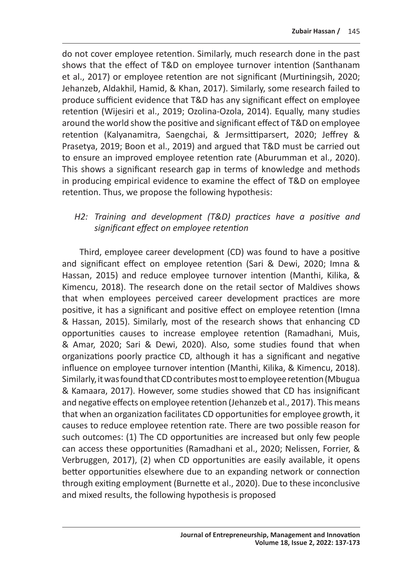do not cover employee retention. Similarly, much research done in the past shows that the effect of T&D on employee turnover intention (Santhanam et al., 2017) or employee retention are not significant (Murtiningsih, 2020; Jehanzeb, Aldakhil, Hamid, & Khan, 2017). Similarly, some research failed to produce sufficient evidence that T&D has any significant effect on employee retention (Wijesiri et al., 2019; Ozolina-Ozola, 2014). Equally, many studies around the world show the positive and significant effect of T&D on employee retention (Kalyanamitra, Saengchai, & Jermsittiparsert, 2020; Jeffrey & Prasetya, 2019; Boon et al., 2019) and argued that T&D must be carried out to ensure an improved employee retention rate (Aburumman et al., 2020). This shows a significant research gap in terms of knowledge and methods in producing empirical evidence to examine the effect of T&D on employee retention. Thus, we propose the following hypothesis:

#### *H2: Training and development (T&D) practices have a positive and significant effect on employee retention*

Third, employee career development (CD) was found to have a positive and significant effect on employee retention (Sari & Dewi, 2020; Imna & Hassan, 2015) and reduce employee turnover intention (Manthi, Kilika, & Kimencu, 2018). The research done on the retail sector of Maldives shows that when employees perceived career development practices are more positive, it has a significant and positive effect on employee retention (Imna & Hassan, 2015). Similarly, most of the research shows that enhancing CD opportunities causes to increase employee retention (Ramadhani, Muis, & Amar, 2020; Sari & Dewi, 2020). Also, some studies found that when organizations poorly practice CD, although it has a significant and negative influence on employee turnover intention (Manthi, Kilika, & Kimencu, 2018). Similarly, it was found that CD contributes most to employee retention (Mbugua & Kamaara, 2017). However, some studies showed that CD has insignificant and negative effects on employee retention (Jehanzeb et al., 2017). This means that when an organization facilitates CD opportunities for employee growth, it causes to reduce employee retention rate. There are two possible reason for such outcomes: (1) The CD opportunities are increased but only few people can access these opportunities (Ramadhani et al., 2020; Nelissen, Forrier, & Verbruggen, 2017), (2) when CD opportunities are easily available, it opens better opportunities elsewhere due to an expanding network or connection through exiting employment (Burnette et al., 2020). Due to these inconclusive and mixed results, the following hypothesis is proposed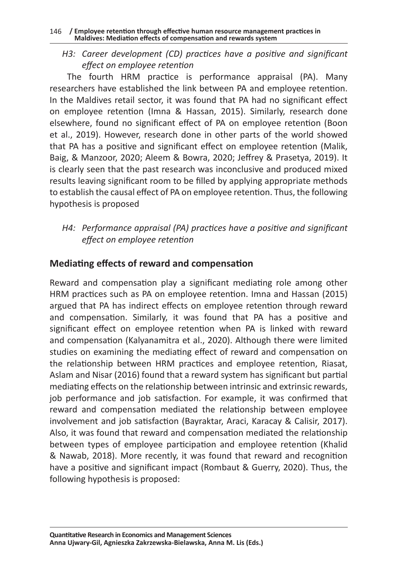*H3: Career development (CD) practices have a positive and significant effect on employee retention*

The fourth HRM practice is performance appraisal (PA). Many researchers have established the link between PA and employee retention. In the Maldives retail sector, it was found that PA had no significant effect on employee retention (Imna & Hassan, 2015). Similarly, research done elsewhere, found no significant effect of PA on employee retention (Boon et al., 2019). However, research done in other parts of the world showed that PA has a positive and significant effect on employee retention (Malik, Baig, & Manzoor, 2020; Aleem & Bowra, 2020; Jeffrey & Prasetya, 2019). It is clearly seen that the past research was inconclusive and produced mixed results leaving significant room to be filled by applying appropriate methods to establish the causal effect of PA on employee retention. Thus, the following hypothesis is proposed

*H4: Performance appraisal (PA) practices have a positive and significant effect on employee retention*

# **Mediating effects of reward and compensation**

Reward and compensation play a significant mediating role among other HRM practices such as PA on employee retention. Imna and Hassan (2015) argued that PA has indirect effects on employee retention through reward and compensation. Similarly, it was found that PA has a positive and significant effect on employee retention when PA is linked with reward and compensation (Kalyanamitra et al., 2020). Although there were limited studies on examining the mediating effect of reward and compensation on the relationship between HRM practices and employee retention, Riasat, Aslam and Nisar (2016) found that a reward system has significant but partial mediating effects on the relationship between intrinsic and extrinsic rewards, job performance and job satisfaction. For example, it was confirmed that reward and compensation mediated the relationship between employee involvement and job satisfaction (Bayraktar, Araci, Karacay & Calisir, 2017). Also, it was found that reward and compensation mediated the relationship between types of employee participation and employee retention (Khalid & Nawab, 2018). More recently, it was found that reward and recognition have a positive and significant impact (Rombaut & Guerry, 2020). Thus, the following hypothesis is proposed: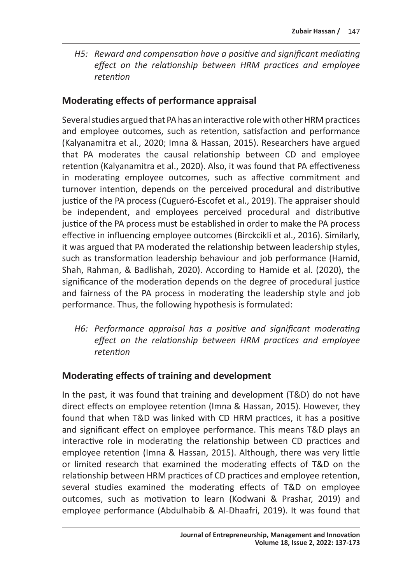*H5: Reward and compensation have a positive and significant mediating effect on the relationship between HRM practices and employee retention*

### **Moderating effects of performance appraisal**

Several studies argued that PA has an interactive role with other HRM practices and employee outcomes, such as retention, satisfaction and performance (Kalyanamitra et al., 2020; Imna & Hassan, 2015). Researchers have argued that PA moderates the causal relationship between CD and employee retention (Kalyanamitra et al., 2020). Also, it was found that PA effectiveness in moderating employee outcomes, such as affective commitment and turnover intention, depends on the perceived procedural and distributive justice of the PA process (Cugueró-Escofet et al., 2019). The appraiser should be independent, and employees perceived procedural and distributive justice of the PA process must be established in order to make the PA process effective in influencing employee outcomes (Birckcikli et al., 2016). Similarly, it was argued that PA moderated the relationship between leadership styles, such as transformation leadership behaviour and job performance (Hamid, Shah, Rahman, & Badlishah, 2020). According to Hamide et al. (2020), the significance of the moderation depends on the degree of procedural justice and fairness of the PA process in moderating the leadership style and job performance. Thus, the following hypothesis is formulated:

*H6: Performance appraisal has a positive and significant moderating effect on the relationship between HRM practices and employee retention*

#### **Moderating effects of training and development**

In the past, it was found that training and development (T&D) do not have direct effects on employee retention (Imna & Hassan, 2015). However, they found that when T&D was linked with CD HRM practices, it has a positive and significant effect on employee performance. This means T&D plays an interactive role in moderating the relationship between CD practices and employee retention (Imna & Hassan, 2015). Although, there was very little or limited research that examined the moderating effects of T&D on the relationship between HRM practices of CD practices and employee retention, several studies examined the moderating effects of T&D on employee outcomes, such as motivation to learn (Kodwani & Prashar, 2019) and employee performance (Abdulhabib & Al-Dhaafri, 2019). It was found that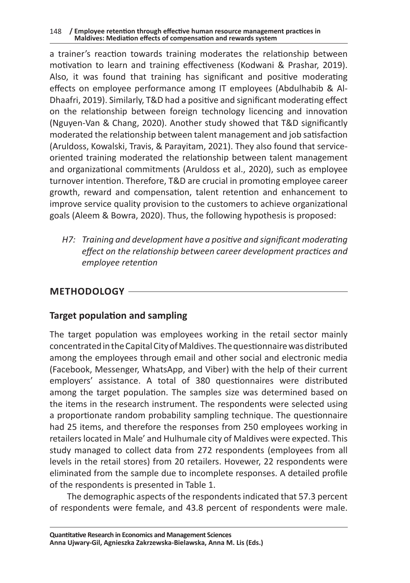a trainer's reaction towards training moderates the relationship between motivation to learn and training effectiveness (Kodwani & Prashar, 2019). Also, it was found that training has significant and positive moderating effects on employee performance among IT employees (Abdulhabib & Al-Dhaafri, 2019). Similarly, T&D had a positive and significant moderating effect on the relationship between foreign technology licencing and innovation (Nguyen-Van & Chang, 2020). Another study showed that T&D significantly moderated the relationship between talent management and job satisfaction (Aruldoss, Kowalski, Travis, & Parayitam, 2021). They also found that serviceoriented training moderated the relationship between talent management and organizational commitments (Aruldoss et al., 2020), such as employee turnover intention. Therefore, T&D are crucial in promoting employee career growth, reward and compensation, talent retention and enhancement to improve service quality provision to the customers to achieve organizational goals (Aleem & Bowra, 2020). Thus, the following hypothesis is proposed:

*H7: Training and development have a positive and significant moderating effect on the relationship between career development practices and employee retention*

### **METHODOLOGY**

# **Target population and sampling**

The target population was employees working in the retail sector mainly concentrated in the Capital City of Maldives. The questionnaire was distributed among the employees through email and other social and electronic media (Facebook, Messenger, WhatsApp, and Viber) with the help of their current employers' assistance. A total of 380 questionnaires were distributed among the target population. The samples size was determined based on the items in the research instrument. The respondents were selected using a proportionate random probability sampling technique. The questionnaire had 25 items, and therefore the responses from 250 employees working in retailers located in Male' and Hulhumale city of Maldives were expected. This study managed to collect data from 272 respondents (employees from all levels in the retail stores) from 20 retailers. Hovewer, 22 respondents were eliminated from the sample due to incomplete responses. A detailed profile of the respondents is presented in Table 1.

The demographic aspects of the respondents indicated that 57.3 percent of respondents were female, and 43.8 percent of respondents were male.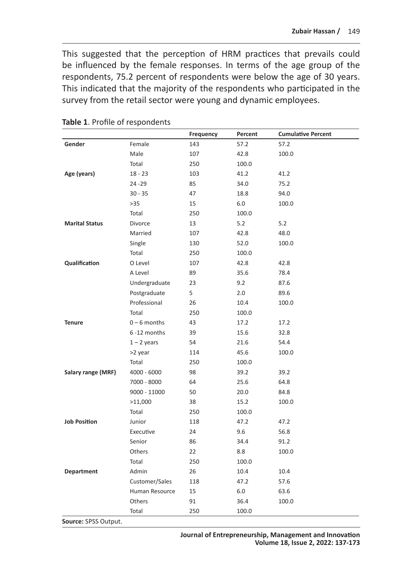This suggested that the perception of HRM practices that prevails could be influenced by the female responses. In terms of the age group of the respondents, 75.2 percent of respondents were below the age of 30 years. This indicated that the majority of the respondents who participated in the survey from the retail sector were young and dynamic employees.

|                       |                | Frequency | Percent | <b>Cumulative Percent</b> |
|-----------------------|----------------|-----------|---------|---------------------------|
| Gender                | Female         | 143       | 57.2    | 57.2                      |
|                       | Male           | 107       | 42.8    | 100.0                     |
|                       | Total          | 250       | 100.0   |                           |
| Age (years)           | $18 - 23$      | 103       | 41.2    | 41.2                      |
|                       | 24 - 29        | 85        | 34.0    | 75.2                      |
|                       | $30 - 35$      | 47        | 18.8    | 94.0                      |
|                       | $>35$          | 15        | 6.0     | 100.0                     |
|                       | Total          | 250       | 100.0   |                           |
| <b>Marital Status</b> | Divorce        | 13        | 5.2     | 5.2                       |
|                       | Married        | 107       | 42.8    | 48.0                      |
|                       | Single         | 130       | 52.0    | 100.0                     |
|                       | Total          | 250       | 100.0   |                           |
| Qualification         | O Level        | 107       | 42.8    | 42.8                      |
|                       | A Level        | 89        | 35.6    | 78.4                      |
|                       | Undergraduate  | 23        | 9.2     | 87.6                      |
|                       | Postgraduate   | 5         | 2.0     | 89.6                      |
|                       | Professional   | 26        | 10.4    | 100.0                     |
|                       | Total          | 250       | 100.0   |                           |
| <b>Tenure</b>         | $0 - 6$ months | 43        | 17.2    | 17.2                      |
|                       | 6-12 months    | 39        | 15.6    | 32.8                      |
|                       | $1 - 2$ years  | 54        | 21.6    | 54.4                      |
|                       | >2 year        | 114       | 45.6    | 100.0                     |
|                       | Total          | 250       | 100.0   |                           |
| Salary range (MRF)    | $4000 - 6000$  | 98        | 39.2    | 39.2                      |
|                       | 7000 - 8000    | 64        | 25.6    | 64.8                      |
|                       | 9000 - 11000   | 50        | 20.0    | 84.8                      |
|                       | >11,000        | 38        | 15.2    | 100.0                     |
|                       | Total          | 250       | 100.0   |                           |
| <b>Job Position</b>   | Junior         | 118       | 47.2    | 47.2                      |
|                       | Executive      | 24        | 9.6     | 56.8                      |
|                       | Senior         | 86        | 34.4    | 91.2                      |
|                       | Others         | 22        | 8.8     | 100.0                     |
|                       | Total          | 250       | 100.0   |                           |
| Department            | Admin          | 26        | 10.4    | 10.4                      |
|                       | Customer/Sales | 118       | 47.2    | 57.6                      |
|                       | Human Resource | 15        | 6.0     | 63.6                      |
|                       | Others         | 91        | 36.4    | 100.0                     |
|                       | Total          | 250       | 100.0   |                           |
| Source: SPSS Output.  |                |           |         |                           |

**Table 1**. Profile of respondents

**Journal of Entrepreneurship, Management and Innovation Volume 18, Issue 2, 2022: 137-173**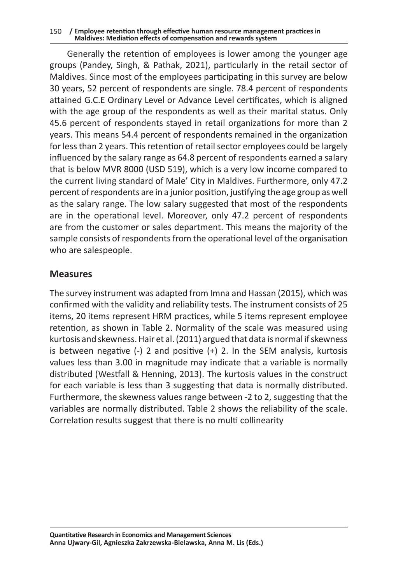#### 150 **/ Employee retention through effective human resource management practices in Maldives: Mediation effects of compensation and rewards system**

Generally the retention of employees is lower among the younger age groups (Pandey, Singh, & Pathak, 2021), particularly in the retail sector of Maldives. Since most of the employees participating in this survey are below 30 years, 52 percent of respondents are single. 78.4 percent of respondents attained G.C.E Ordinary Level or Advance Level certificates, which is aligned with the age group of the respondents as well as their marital status. Only 45.6 percent of respondents stayed in retail organizations for more than 2 years. This means 54.4 percent of respondents remained in the organization for less than 2 years. This retention of retail sector employees could be largely influenced by the salary range as 64.8 percent of respondents earned a salary that is below MVR 8000 (USD 519), which is a very low income compared to the current living standard of Male' City in Maldives. Furthermore, only 47.2 percent of respondents are in a junior position, justifying the age group as well as the salary range. The low salary suggested that most of the respondents are in the operational level. Moreover, only 47.2 percent of respondents are from the customer or sales department. This means the majority of the sample consists of respondents from the operational level of the organisation who are salespeople.

#### **Measures**

The survey instrument was adapted from Imna and Hassan (2015), which was confirmed with the validity and reliability tests. The instrument consists of 25 items, 20 items represent HRM practices, while 5 items represent employee retention, as shown in Table 2. Normality of the scale was measured using kurtosis and skewness. Hair et al. (2011) argued that data is normal if skewness is between negative  $(-)$  2 and positive  $(+)$  2. In the SEM analysis, kurtosis values less than 3.00 in magnitude may indicate that a variable is normally distributed (Westfall & Henning, 2013). The kurtosis values in the construct for each variable is less than 3 suggesting that data is normally distributed. Furthermore, the skewness values range between -2 to 2, suggesting that the variables are normally distributed. Table 2 shows the reliability of the scale. Correlation results suggest that there is no multi collinearity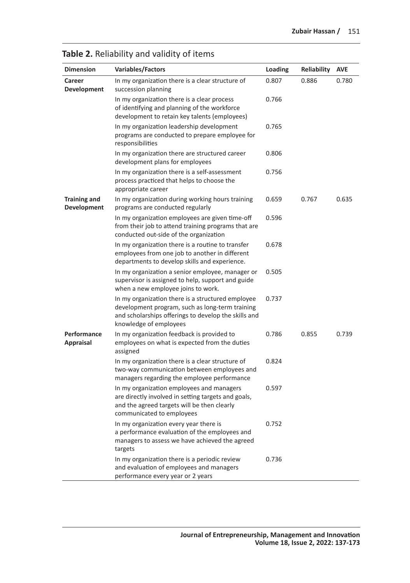| <b>Dimension</b>                   | <b>Variables/Factors</b>                                                                                                                                                               | Loading | Reliability | <b>AVE</b> |
|------------------------------------|----------------------------------------------------------------------------------------------------------------------------------------------------------------------------------------|---------|-------------|------------|
| Career<br>Development              | In my organization there is a clear structure of<br>succession planning                                                                                                                | 0.807   | 0.886       | 0.780      |
|                                    | In my organization there is a clear process<br>of identifying and planning of the workforce<br>development to retain key talents (employees)                                           | 0.766   |             |            |
|                                    | In my organization leadership development<br>programs are conducted to prepare employee for<br>responsibilities                                                                        | 0.765   |             |            |
|                                    | In my organization there are structured career<br>development plans for employees                                                                                                      | 0.806   |             |            |
|                                    | In my organization there is a self-assessment<br>process practiced that helps to choose the<br>appropriate career                                                                      | 0.756   |             |            |
| <b>Training and</b><br>Development | In my organization during working hours training<br>programs are conducted regularly                                                                                                   | 0.659   | 0.767       | 0.635      |
|                                    | In my organization employees are given time-off<br>from their job to attend training programs that are<br>conducted out-side of the organization                                       | 0.596   |             |            |
|                                    | In my organization there is a routine to transfer<br>employees from one job to another in different<br>departments to develop skills and experience.                                   | 0.678   |             |            |
|                                    | In my organization a senior employee, manager or<br>supervisor is assigned to help, support and guide<br>when a new employee joins to work.                                            | 0.505   |             |            |
|                                    | In my organization there is a structured employee<br>development program, such as long-term training<br>and scholarships offerings to develop the skills and<br>knowledge of employees | 0.737   |             |            |
| Performance<br><b>Appraisal</b>    | In my organization feedback is provided to<br>employees on what is expected from the duties<br>assigned                                                                                | 0.786   | 0.855       | 0.739      |
|                                    | In my organization there is a clear structure of<br>two-way communication between employees and<br>managers regarding the employee performance                                         | 0.824   |             |            |
|                                    | In my organization employees and managers<br>are directly involved in setting targets and goals,<br>and the agreed targets will be then clearly<br>communicated to employees           | 0.597   |             |            |
|                                    | In my organization every year there is<br>a performance evaluation of the employees and<br>managers to assess we have achieved the agreed<br>targets                                   | 0.752   |             |            |
|                                    | In my organization there is a periodic review<br>and evaluation of employees and managers<br>performance every year or 2 years                                                         | 0.736   |             |            |

#### **Table 2.** Reliability and validity of items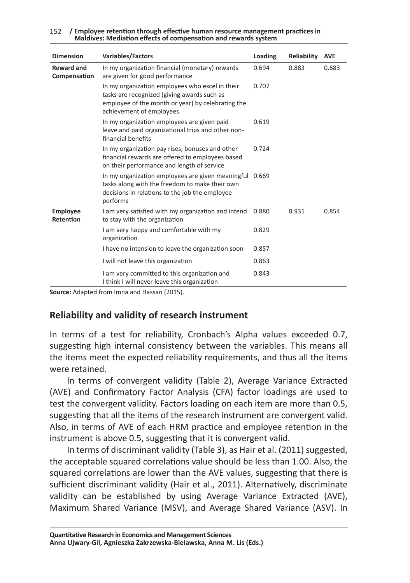| 152 / Employee retention through effective human resource management practices in |
|-----------------------------------------------------------------------------------|
| Maldives: Mediation effects of compensation and rewards system                    |

| <b>Dimension</b>                  | <b>Variables/Factors</b>                                                                                                                                                         | Loading | Reliability | <b>AVE</b> |
|-----------------------------------|----------------------------------------------------------------------------------------------------------------------------------------------------------------------------------|---------|-------------|------------|
| <b>Reward and</b><br>Compensation | In my organization financial (monetary) rewards<br>are given for good performance                                                                                                | 0.694   | 0.883       | 0.683      |
|                                   | In my organization employees who excel in their<br>tasks are recognized (giving awards such as<br>employee of the month or year) by celebrating the<br>achievement of employees. | 0.707   |             |            |
|                                   | In my organization employees are given paid<br>leave and paid organizational trips and other non-<br>financial benefits                                                          | 0.619   |             |            |
|                                   | In my organization pay rises, bonuses and other<br>financial rewards are offered to employees based<br>on their performance and length of service                                | 0.724   |             |            |
|                                   | In my organization employees are given meaningful 0.669<br>tasks along with the freedom to make their own<br>decisions in relations to the job the employee<br>performs          |         |             |            |
| <b>Employee</b><br>Retention      | I am very satisfied with my organization and intend<br>to stay with the organization                                                                                             | 0.880   | 0.931       | 0.854      |
|                                   | I am very happy and comfortable with my<br>organization                                                                                                                          | 0.829   |             |            |
|                                   | I have no intension to leave the organization soon                                                                                                                               | 0.857   |             |            |
|                                   | I will not leave this organization                                                                                                                                               | 0.863   |             |            |
|                                   | I am very committed to this organization and<br>I think I will never leave this organization                                                                                     | 0.843   |             |            |

**Source:** Adapted from Imna and Hassan (2015).

#### **Reliability and validity of research instrument**

In terms of a test for reliability, Cronbach's Alpha values exceeded 0.7, suggesting high internal consistency between the variables. This means all the items meet the expected reliability requirements, and thus all the items were retained.

In terms of convergent validity (Table 2), Average Variance Extracted (AVE) and Confirmatory Factor Analysis (CFA) factor loadings are used to test the convergent validity. Factors loading on each item are more than 0.5, suggesting that all the items of the research instrument are convergent valid. Also, in terms of AVE of each HRM practice and employee retention in the instrument is above 0.5, suggesting that it is convergent valid.

In terms of discriminant validity (Table 3), as Hair et al. (2011) suggested, the acceptable squared correlations value should be less than 1.00. Also, the squared correlations are lower than the AVE values, suggesting that there is sufficient discriminant validity (Hair et al., 2011). Alternatively, discriminate validity can be established by using Average Variance Extracted (AVE), Maximum Shared Variance (MSV), and Average Shared Variance (ASV). In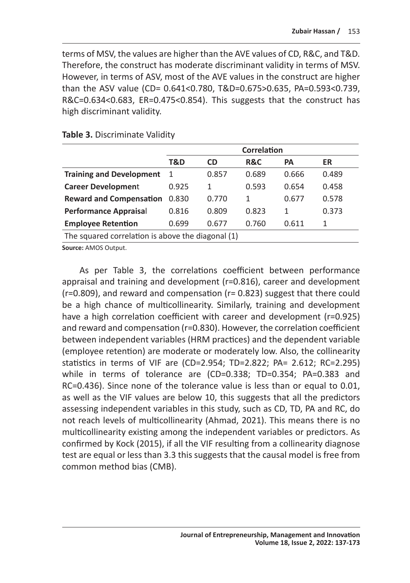terms of MSV, the values are higher than the AVE values of CD, R&C, and T&D. Therefore, the construct has moderate discriminant validity in terms of MSV. However, in terms of ASV, most of the AVE values in the construct are higher than the ASV value (CD= 0.641<0.780, T&D=0.675>0.635, PA=0.593<0.739, R&C=0.634<0.683, ER=0.475<0.854). This suggests that the construct has high discriminant validity.

|                                                   | <b>Correlation</b> |           |                |           |       |  |
|---------------------------------------------------|--------------------|-----------|----------------|-----------|-------|--|
|                                                   | T&D                | <b>CD</b> | <b>R&amp;C</b> | <b>PA</b> | ER    |  |
| <b>Training and Development</b>                   | -1                 | 0.857     | 0.689          | 0.666     | 0.489 |  |
| <b>Career Development</b>                         | 0.925              | 1         | 0.593          | 0.654     | 0.458 |  |
| <b>Reward and Compensation</b>                    | 0.830              | 0.770     | 1              | 0.677     | 0.578 |  |
| <b>Performance Appraisal</b>                      | 0.816              | 0.809     | 0.823          | 1         | 0.373 |  |
| <b>Employee Retention</b>                         | 0.699              | 0.677     | 0.760          | 0.611     | 1     |  |
| The squared correlation is above the diagonal (1) |                    |           |                |           |       |  |

#### **Table 3.** Discriminate Validity

**Source:** AMOS Output.

As per Table 3, the correlations coefficient between performance appraisal and training and development (r=0.816), career and development (r=0.809), and reward and compensation (r= 0.823) suggest that there could be a high chance of multicollinearity. Similarly, training and development have a high correlation coefficient with career and development (r=0.925) and reward and compensation (r=0.830). However, the correlation coefficient between independent variables (HRM practices) and the dependent variable (employee retention) are moderate or moderately low. Also, the collinearity statistics in terms of VIF are (CD=2.954; TD=2.822; PA= 2.612; RC=2.295) while in terms of tolerance are (CD=0.338; TD=0.354; PA=0.383 and RC=0.436). Since none of the tolerance value is less than or equal to 0.01, as well as the VIF values are below 10, this suggests that all the predictors assessing independent variables in this study, such as CD, TD, PA and RC, do not reach levels of multicollinearity (Ahmad, 2021). This means there is no multicollinearity existing among the independent variables or predictors. As confirmed by Kock (2015), if all the VIF resulting from a collinearity diagnose test are equal or less than 3.3 this suggests that the causal model is free from common method bias (CMB).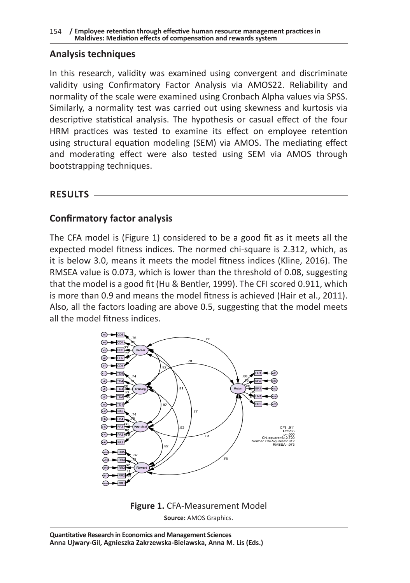#### **Analysis techniques**

In this research, validity was examined using convergent and discriminate validity using Confirmatory Factor Analysis via AMOS22. Reliability and normality of the scale were examined using Cronbach Alpha values via SPSS. Similarly, a normality test was carried out using skewness and kurtosis via descriptive statistical analysis. The hypothesis or casual effect of the four HRM practices was tested to examine its effect on employee retention using structural equation modeling (SEM) via AMOS. The mediating effect and moderating effect were also tested using SEM via AMOS through bootstrapping techniques.

**RESULTS**

# **Confirmatory factor analysis**

The CFA model is (Figure 1) considered to be a good fit as it meets all the expected model fitness indices. The normed chi-square is 2.312, which, as it is below 3.0, means it meets the model fitness indices (Kline, 2016). The RMSEA value is 0.073, which is lower than the threshold of 0.08, suggesting that the model is a good fit (Hu & Bentler, 1999). The CFI scored 0.911, which is more than 0.9 and means the model fitness is achieved (Hair et al., 2011). Also, all the factors loading are above 0.5, suggesting that the model meets all the model fitness indices.



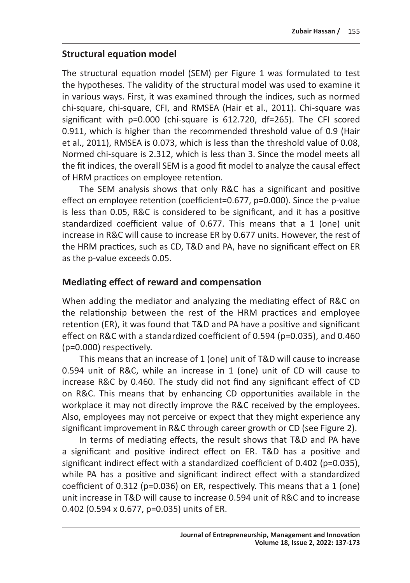### **Structural equation model**

The structural equation model (SEM) per Figure 1 was formulated to test the hypotheses. The validity of the structural model was used to examine it in various ways. First, it was examined through the indices, such as normed chi-square, chi-square, CFI, and RMSEA (Hair et al., 2011). Chi-square was significant with p=0.000 (chi-square is 612.720, df=265). The CFI scored 0.911, which is higher than the recommended threshold value of 0.9 (Hair et al., 2011), RMSEA is 0.073, which is less than the threshold value of 0.08, Normed chi-square is 2.312, which is less than 3. Since the model meets all the fit indices, the overall SEM is a good fit model to analyze the causal effect of HRM practices on employee retention.

The SEM analysis shows that only R&C has a significant and positive effect on employee retention (coefficient=0.677, p=0.000). Since the p-value is less than 0.05, R&C is considered to be significant, and it has a positive standardized coefficient value of 0.677. This means that a 1 (one) unit increase in R&C will cause to increase ER by 0.677 units. However, the rest of the HRM practices, such as CD, T&D and PA, have no significant effect on ER as the p-value exceeds 0.05.

# **Mediating effect of reward and compensation**

When adding the mediator and analyzing the mediating effect of R&C on the relationship between the rest of the HRM practices and employee retention (ER), it was found that T&D and PA have a positive and significant effect on R&C with a standardized coefficient of 0.594 (p=0.035), and 0.460 (p=0.000) respectively.

This means that an increase of 1 (one) unit of T&D will cause to increase 0.594 unit of R&C, while an increase in 1 (one) unit of CD will cause to increase R&C by 0.460. The study did not find any significant effect of CD on R&C. This means that by enhancing CD opportunities available in the workplace it may not directly improve the R&C received by the employees. Also, employees may not perceive or expect that they might experience any significant improvement in R&C through career growth or CD (see Figure 2).

In terms of mediating effects, the result shows that T&D and PA have a significant and positive indirect effect on ER. T&D has a positive and significant indirect effect with a standardized coefficient of 0.402 (p=0.035), while PA has a positive and significant indirect effect with a standardized coefficient of 0.312 (p=0.036) on ER, respectively. This means that a 1 (one) unit increase in T&D will cause to increase 0.594 unit of R&C and to increase 0.402 (0.594 x 0.677, p=0.035) units of ER.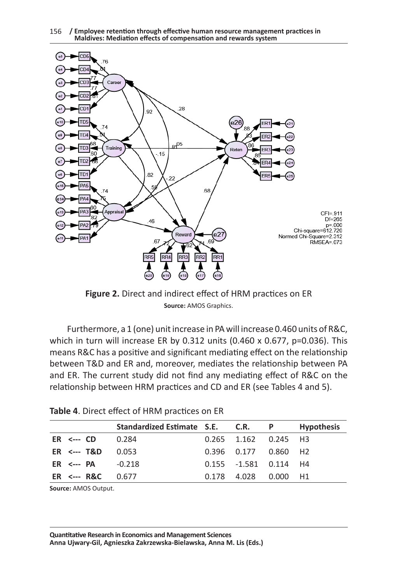



**Figure 2.** Direct and indirect effect of HRM practices on ER **Source:** AMOS Graphics.

Furthermore, a 1 (one) unit increase in PA will increase 0.460 units of R&C, which in turn will increase ER by 0.312 units  $(0.460 \times 0.677, p=0.036)$ . This means R&C has a positive and significant mediating effect on the relationship between T&D and ER and, moreover, mediates the relationship between PA and ER. The current study did not find any mediating effect of R&C on the relationship between HRM practices and CD and ER (see Tables 4 and 5).

|                             | Standardized Estimate S.E. C.R. P |                            |          | <b>Hypothesis</b> |
|-----------------------------|-----------------------------------|----------------------------|----------|-------------------|
| $ER \leftarrow CD$          | 0.284                             | $0.265$ $1.162$ $0.245$ H3 |          |                   |
| $ER \leftarrow$ T&D         | -0.053                            | 0.396  0.177  0.860  H2    |          |                   |
| $ER \leftarrow$ PA $-0.218$ |                                   | $0.155 - 1.581 0.114 H4$   |          |                   |
| $ER \leftarrow$ R&C         | 0.677                             | 0.178 4.028                | 0.000 H1 |                   |

|  |  |  |  | Table 4. Direct effect of HRM practices on ER |  |
|--|--|--|--|-----------------------------------------------|--|
|--|--|--|--|-----------------------------------------------|--|

**Source:** AMOS Output.

**Quantitative Research in Economics and Management Sciences Anna Ujwary-Gil, Agnieszka Zakrzewska-Bielawska, Anna M. Lis (Eds.)**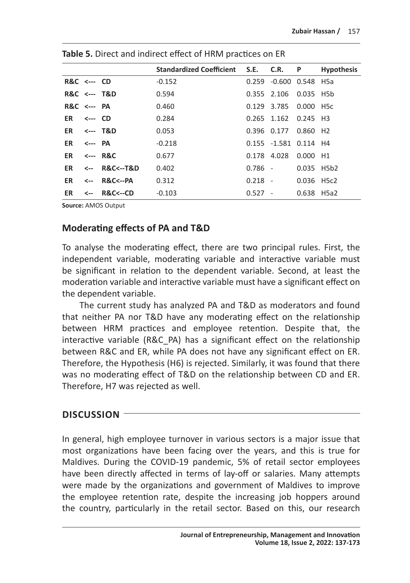|                        |                 |                         | Standardized Coefficient S.E. C.R. |           |                       | P                    | <b>Hypothesis</b> |
|------------------------|-----------------|-------------------------|------------------------------------|-----------|-----------------------|----------------------|-------------------|
| <b>R&amp;C</b> <--- CD |                 |                         | $-0.152$                           | 0.259     | -0.600 0.548 H5a      |                      |                   |
|                        |                 | <b>R&amp;C</b> <--- T&D | 0.594                              |           | 0.355 2.106           | 0.035 H5b            |                   |
| $RRC \leftarrow -PAC$  |                 |                         | 0.460                              | 0.129     | 3.785                 | $0.000$ H5c          |                   |
| ER.                    | $\leftarrow$ CD |                         | 0.284                              |           | 0.265 1.162           | 0.245 H3             |                   |
| ER                     |                 | <--- T&D                | 0.053                              |           | 0.396 0.177           | 0.860 H <sub>2</sub> |                   |
| ER                     | <--- PA         |                         | $-0.218$                           |           | 0.155 -1.581 0.114 H4 |                      |                   |
| ER.                    |                 | <--- R&C                | 0.677                              |           | 0.178 4.028           | $0.000$ H1           |                   |
| ER                     |                 | <-- R&C<--T&D           | 0.402                              | $0.786 -$ |                       | 0.035 H5b2           |                   |
| ER                     | <--             | R&C<--PA                | 0.312                              | $0.218 -$ |                       | 0.036 H5c2           |                   |
| ER                     | <-- -           | <b>R&amp;C&lt;--CD</b>  | $-0.103$                           | $0.527 -$ |                       | 0.638 H5a2           |                   |

**Table 5.** Direct and indirect effect of HRM practices on ER

**Source:** AMOS Output

#### **Moderating effects of PA and T&D**

To analyse the moderating effect, there are two principal rules. First, the independent variable, moderating variable and interactive variable must be significant in relation to the dependent variable. Second, at least the moderation variable and interactive variable must have a significant effect on the dependent variable.

The current study has analyzed PA and T&D as moderators and found that neither PA nor T&D have any moderating effect on the relationship between HRM practices and employee retention. Despite that, the interactive variable (R&C\_PA) has a significant effect on the relationship between R&C and ER, while PA does not have any significant effect on ER. Therefore, the Hypothesis (H6) is rejected. Similarly, it was found that there was no moderating effect of T&D on the relationship between CD and ER. Therefore, H7 was rejected as well.

#### **DISCUSSION**

In general, high employee turnover in various sectors is a major issue that most organizations have been facing over the years, and this is true for Maldives. During the COVID-19 pandemic, 5% of retail sector employees have been directly affected in terms of lay-off or salaries. Many attempts were made by the organizations and government of Maldives to improve the employee retention rate, despite the increasing job hoppers around the country, particularly in the retail sector. Based on this, our research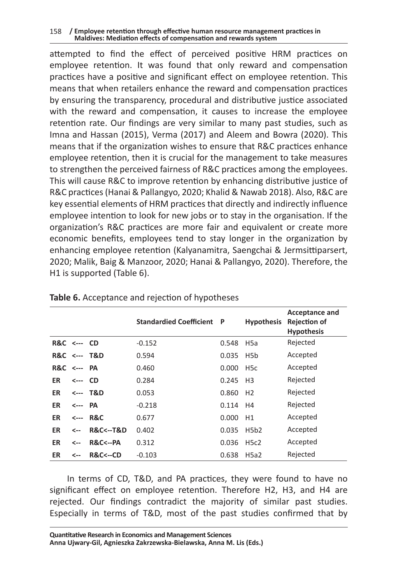#### 158 **/ Employee retention through effective human resource management practices in Maldives: Mediation effects of compensation and rewards system**

attempted to find the effect of perceived positive HRM practices on employee retention. It was found that only reward and compensation practices have a positive and significant effect on employee retention. This means that when retailers enhance the reward and compensation practices by ensuring the transparency, procedural and distributive justice associated with the reward and compensation, it causes to increase the employee retention rate. Our findings are very similar to many past studies, such as Imna and Hassan (2015), Verma (2017) and Aleem and Bowra (2020). This means that if the organization wishes to ensure that R&C practices enhance employee retention, then it is crucial for the management to take measures to strengthen the perceived fairness of R&C practices among the employees. This will cause R&C to improve retention by enhancing distributive justice of R&C practices (Hanai & Pallangyo, 2020; Khalid & Nawab 2018). Also, R&C are key essential elements of HRM practices that directly and indirectly influence employee intention to look for new jobs or to stay in the organisation. If the organization's R&C practices are more fair and equivalent or create more economic benefits, employees tend to stay longer in the organization by enhancing employee retention (Kalyanamitra, Saengchai & Jermsittiparsert, 2020; Malik, Baig & Manzoor, 2020; Hanai & Pallangyo, 2020). Therefore, the H1 is supported (Table 6).

|                        |         |                             | <b>Standardied Coefficient</b> | P     | <b>Hypothesis</b> | <b>Acceptance and</b><br><b>Rejection of</b><br><b>Hypothesis</b> |
|------------------------|---------|-----------------------------|--------------------------------|-------|-------------------|-------------------------------------------------------------------|
| <b>R&amp;C</b> <--- CD |         |                             | $-0.152$                       | 0.548 | H <sub>5</sub> a  | Rejected                                                          |
|                        |         | <b>R&amp;C</b> <--- T&D     | 0.594                          | 0.035 | H <sub>5</sub> b  | Accepted                                                          |
| <b>R&amp;C</b>         | <--- PA |                             | 0.460                          | 0.000 | H <sub>5</sub> c  | Accepted                                                          |
| ER                     | <--- CD |                             | 0.284                          | 0.245 | H <sub>3</sub>    | Rejected                                                          |
| ER                     |         | <--- T&D                    | 0.053                          | 0.860 | H <sub>2</sub>    | Rejected                                                          |
| ER                     | <--- PA |                             | $-0.218$                       | 0.114 | H4                | Rejected                                                          |
| ER                     |         | $<--$ R&C                   | 0.677                          | 0.000 | H1                | Accepted                                                          |
| ER                     | <--     | <b>R&amp;C&lt;--T&amp;D</b> | 0.402                          | 0.035 | H5b2              | Accepted                                                          |
| ER                     | <--     | <b>R&amp;C&lt;--PA</b>      | 0.312                          | 0.036 | H5c2              | Accepted                                                          |
| ER                     | <--     | <b>R&amp;C&lt;--CD</b>      | $-0.103$                       | 0.638 | H5a2              | Rejected                                                          |

#### **Table 6.** Acceptance and rejection of hypotheses

In terms of CD, T&D, and PA practices, they were found to have no significant effect on employee retention. Therefore H2, H3, and H4 are rejected. Our findings contradict the majority of similar past studies. Especially in terms of T&D, most of the past studies confirmed that by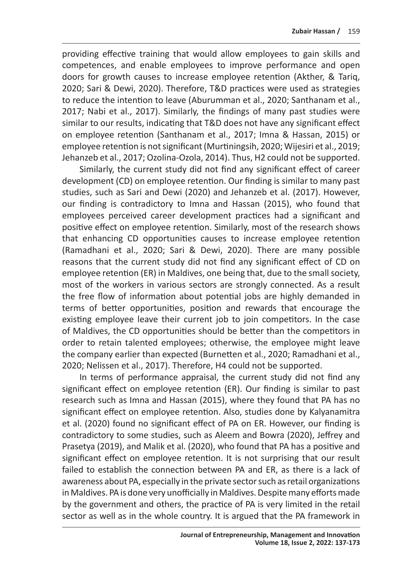providing effective training that would allow employees to gain skills and competences, and enable employees to improve performance and open doors for growth causes to increase employee retention (Akther, & Tariq, 2020; Sari & Dewi, 2020). Therefore, T&D practices were used as strategies to reduce the intention to leave (Aburumman et al., 2020; Santhanam et al., 2017; Nabi et al., 2017). Similarly, the findings of many past studies were similar to our results, indicating that T&D does not have any significant effect on employee retention (Santhanam et al., 2017; Imna & Hassan, 2015) or employee retention is not significant (Murtiningsih, 2020; Wijesiri et al., 2019; Jehanzeb et al., 2017; Ozolina-Ozola, 2014). Thus, H2 could not be supported.

Similarly, the current study did not find any significant effect of career development (CD) on employee retention. Our finding is similar to many past studies, such as Sari and Dewi (2020) and Jehanzeb et al. (2017). However, our finding is contradictory to Imna and Hassan (2015), who found that employees perceived career development practices had a significant and positive effect on employee retention. Similarly, most of the research shows that enhancing CD opportunities causes to increase employee retention (Ramadhani et al., 2020; Sari & Dewi, 2020). There are many possible reasons that the current study did not find any significant effect of CD on employee retention (ER) in Maldives, one being that, due to the small society, most of the workers in various sectors are strongly connected. As a result the free flow of information about potential jobs are highly demanded in terms of better opportunities, position and rewards that encourage the existing employee leave their current job to join competitors. In the case of Maldives, the CD opportunities should be better than the competitors in order to retain talented employees; otherwise, the employee might leave the company earlier than expected (Burnetten et al., 2020; Ramadhani et al., 2020; Nelissen et al., 2017). Therefore, H4 could not be supported.

In terms of performance appraisal, the current study did not find any significant effect on employee retention (ER). Our finding is similar to past research such as Imna and Hassan (2015), where they found that PA has no significant effect on employee retention. Also, studies done by Kalyanamitra et al. (2020) found no significant effect of PA on ER. However, our finding is contradictory to some studies, such as Aleem and Bowra (2020), Jeffrey and Prasetya (2019), and Malik et al. (2020), who found that PA has a positive and significant effect on employee retention. It is not surprising that our result failed to establish the connection between PA and ER, as there is a lack of awareness about PA, especially in the private sector such as retail organizations in Maldives. PA is done very unofficially in Maldives. Despite many efforts made by the government and others, the practice of PA is very limited in the retail sector as well as in the whole country. It is argued that the PA framework in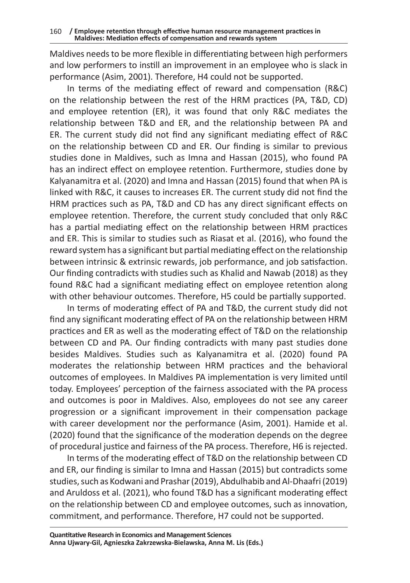Maldives needs to be more flexible in differentiating between high performers and low performers to instill an improvement in an employee who is slack in performance (Asim, 2001). Therefore, H4 could not be supported.

In terms of the mediating effect of reward and compensation (R&C) on the relationship between the rest of the HRM practices (PA, T&D, CD) and employee retention (ER), it was found that only R&C mediates the relationship between T&D and ER, and the relationship between PA and ER. The current study did not find any significant mediating effect of R&C on the relationship between CD and ER. Our finding is similar to previous studies done in Maldives, such as Imna and Hassan (2015), who found PA has an indirect effect on employee retention. Furthermore, studies done by Kalyanamitra et al. (2020) and Imna and Hassan (2015) found that when PA is linked with R&C, it causes to increases ER. The current study did not find the HRM practices such as PA, T&D and CD has any direct significant effects on employee retention. Therefore, the current study concluded that only R&C has a partial mediating effect on the relationship between HRM practices and ER. This is similar to studies such as Riasat et al. (2016), who found the reward system has a significant but partial mediating effect on the relationship between intrinsic & extrinsic rewards, job performance, and job satisfaction. Our finding contradicts with studies such as Khalid and Nawab (2018) as they found R&C had a significant mediating effect on employee retention along with other behaviour outcomes. Therefore, H5 could be partially supported.

In terms of moderating effect of PA and T&D, the current study did not find any significant moderating effect of PA on the relationship between HRM practices and ER as well as the moderating effect of T&D on the relationship between CD and PA. Our finding contradicts with many past studies done besides Maldives. Studies such as Kalyanamitra et al. (2020) found PA moderates the relationship between HRM practices and the behavioral outcomes of employees. In Maldives PA implementation is very limited until today. Employees' perception of the fairness associated with the PA process and outcomes is poor in Maldives. Also, employees do not see any career progression or a significant improvement in their compensation package with career development nor the performance (Asim, 2001). Hamide et al. (2020) found that the significance of the moderation depends on the degree of procedural justice and fairness of the PA process. Therefore, H6 is rejected.

In terms of the moderating effect of T&D on the relationship between CD and ER, our finding is similar to Imna and Hassan (2015) but contradicts some studies, such as Kodwani and Prashar (2019), Abdulhabib and Al-Dhaafri (2019) and Aruldoss et al. (2021), who found T&D has a significant moderating effect on the relationship between CD and employee outcomes, such as innovation, commitment, and performance. Therefore, H7 could not be supported.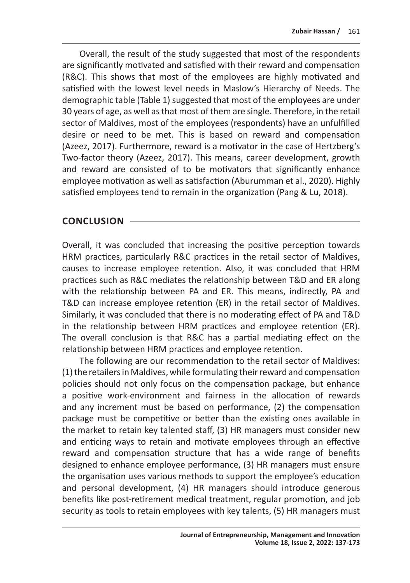Overall, the result of the study suggested that most of the respondents are significantly motivated and satisfied with their reward and compensation (R&C). This shows that most of the employees are highly motivated and satisfied with the lowest level needs in Maslow's Hierarchy of Needs. The demographic table (Table 1) suggested that most of the employees are under 30 years of age, as well as that most of them are single. Therefore, in the retail sector of Maldives, most of the employees (respondents) have an unfulfilled desire or need to be met. This is based on reward and compensation (Azeez, 2017). Furthermore, reward is a motivator in the case of Hertzberg's Two-factor theory (Azeez, 2017). This means, career development, growth and reward are consisted of to be motivators that significantly enhance employee motivation as well as satisfaction (Aburumman et al., 2020). Highly satisfied employees tend to remain in the organization (Pang & Lu, 2018).

#### **CONCLUSION**

Overall, it was concluded that increasing the positive perception towards HRM practices, particularly R&C practices in the retail sector of Maldives, causes to increase employee retention. Also, it was concluded that HRM practices such as R&C mediates the relationship between T&D and ER along with the relationship between PA and ER. This means, indirectly, PA and T&D can increase employee retention (ER) in the retail sector of Maldives. Similarly, it was concluded that there is no moderating effect of PA and T&D in the relationship between HRM practices and employee retention (ER). The overall conclusion is that R&C has a partial mediating effect on the relationship between HRM practices and employee retention.

The following are our recommendation to the retail sector of Maldives: (1) the retailers in Maldives, while formulating their reward and compensation policies should not only focus on the compensation package, but enhance a positive work-environment and fairness in the allocation of rewards and any increment must be based on performance, (2) the compensation package must be competitive or better than the existing ones available in the market to retain key talented staff, (3) HR managers must consider new and enticing ways to retain and motivate employees through an effective reward and compensation structure that has a wide range of benefits designed to enhance employee performance, (3) HR managers must ensure the organisation uses various methods to support the employee's education and personal development, (4) HR managers should introduce generous benefits like post-retirement medical treatment, regular promotion, and job security as tools to retain employees with key talents, (5) HR managers must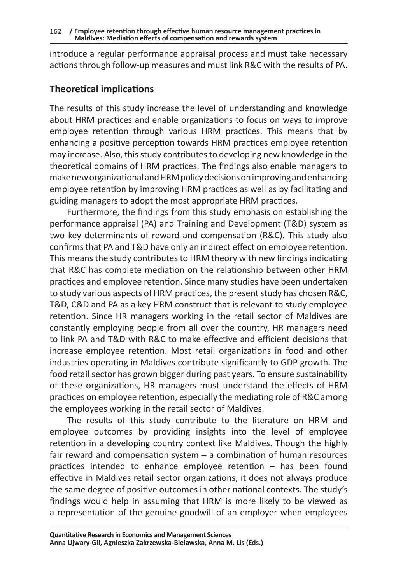introduce a regular performance appraisal process and must take necessary actions through follow-up measures and must link R&C with the results of PA.

### **Theoretical implications**

The results of this study increase the level of understanding and knowledge about HRM practices and enable organizations to focus on ways to improve employee retention through various HRM practices. This means that by enhancing a positive perception towards HRM practices employee retention may increase. Also, this study contributes to developing new knowledge in the theoretical domains of HRM practices. The findings also enable managers to make new organizational and HRM policy decisions on improving and enhancing employee retention by improving HRM practices as well as by facilitating and guiding managers to adopt the most appropriate HRM practices.

Furthermore, the findings from this study emphasis on establishing the performance appraisal (PA) and Training and Development (T&D) system as two key determinants of reward and compensation (R&C). This study also confirms that PA and T&D have only an indirect effect on employee retention. This means the study contributes to HRM theory with new findings indicating that R&C has complete mediation on the relationship between other HRM practices and employee retention. Since many studies have been undertaken to study various aspects of HRM practices, the present study has chosen R&C, T&D, C&D and PA as a key HRM construct that is relevant to study employee retention. Since HR managers working in the retail sector of Maldives are constantly employing people from all over the country, HR managers need to link PA and T&D with R&C to make effective and efficient decisions that increase employee retention. Most retail organizations in food and other industries operating in Maldives contribute significantly to GDP growth. The food retail sector has grown bigger during past years. To ensure sustainability of these organizations, HR managers must understand the effects of HRM practices on employee retention, especially the mediating role of R&C among the employees working in the retail sector of Maldives.

The results of this study contribute to the literature on HRM and employee outcomes by providing insights into the level of employee retention in a developing country context like Maldives. Though the highly fair reward and compensation system – a combination of human resources practices intended to enhance employee retention – has been found effective in Maldives retail sector organizations, it does not always produce the same degree of positive outcomes in other national contexts. The study's findings would help in assuming that HRM is more likely to be viewed as a representation of the genuine goodwill of an employer when employees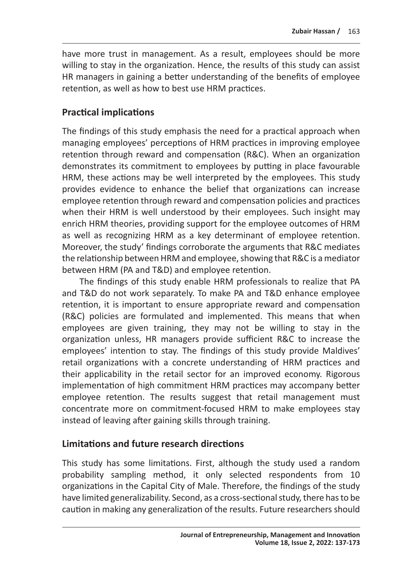have more trust in management. As a result, employees should be more willing to stay in the organization. Hence, the results of this study can assist HR managers in gaining a better understanding of the benefits of employee retention, as well as how to best use HRM practices.

### **Practical implications**

The findings of this study emphasis the need for a practical approach when managing employees' perceptions of HRM practices in improving employee retention through reward and compensation (R&C). When an organization demonstrates its commitment to employees by putting in place favourable HRM, these actions may be well interpreted by the employees. This study provides evidence to enhance the belief that organizations can increase employee retention through reward and compensation policies and practices when their HRM is well understood by their employees. Such insight may enrich HRM theories, providing support for the employee outcomes of HRM as well as recognizing HRM as a key determinant of employee retention. Moreover, the study' findings corroborate the arguments that R&C mediates the relationship between HRM and employee, showing that R&C is amediator between HRM (PA and T&D) and employee retention.

The findings of this study enable HRM professionals to realize that PA and T&D do not work separately. To make PA and T&D enhance employee retention, it is important to ensure appropriate reward and compensation (R&C) policies are formulated and implemented. This means that when employees are given training, they may not be willing to stay in the organization unless, HR managers provide sufficient R&C to increase the employees' intention to stay. The findings of this study provide Maldives' retail organizations with a concrete understanding of HRM practices and their applicability in the retail sector for an improved economy. Rigorous implementation of high commitment HRM practices may accompany better employee retention. The results suggest that retail management must concentrate more on commitment-focused HRM to make employees stay instead of leaving after gaining skills through training.

#### **Limitations and future research directions**

This study has some limitations. First, although the study used a random probability sampling method, it only selected respondents from 10 organizations in the Capital City of Male. Therefore, the findings of the study have limited generalizability. Second, as a cross-sectional study, there has to be caution in making any generalization of the results. Future researchers should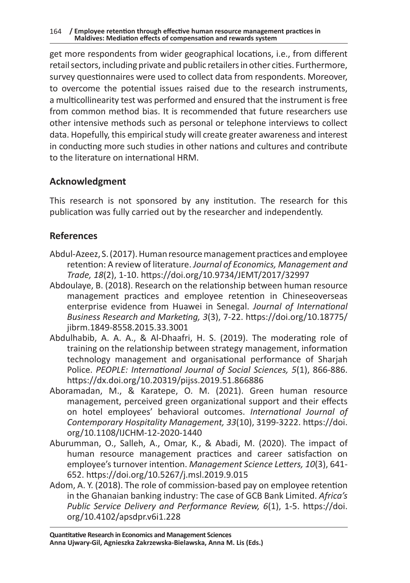get more respondents from wider geographical locations, i.e., from different retail sectors, including private and public retailers in other cities. Furthermore, survey questionnaires were used to collect data from respondents. Moreover, to overcome the potential issues raised due to the research instruments, a multicollinearity test was performed and ensured that the instrument is free from common method bias. It is recommended that future researchers use other intensive methods such as personal or telephone interviews to collect data. Hopefully, this empirical study will create greater awareness and interest in conducting more such studies in other nations and cultures and contribute to the literature on international HRM.

### **Acknowledgment**

This research is not sponsored by any institution. The research for this publication was fully carried out by the researcher and independently.

### **References**

- Abdul-Azeez, S. (2017). Human resource management practices and employee retention: A review of literature. *Journal of Economics, Management and Trade, 18*(2), 1-10. https://doi.org/10.9734/JEMT/2017/32997
- Abdoulaye, B. (2018). Research on the relationship between human resource management practices and employee retention in Chineseoverseas enterprise evidence from Huawei in Senegal. *Journal of International Business Research and Marketing, 3*(3), 7-22. https://doi.org/10.18775/ jibrm.1849-8558.2015.33.3001
- Abdulhabib, A. A. A., & Al-Dhaafri, H. S. (2019). The moderating role of training on the relationship between strategy management, information technology management and organisational performance of Sharjah Police. *PEOPLE: International Journal of Social Sciences, 5*(1), 866-886. https://dx.doi.org/10.20319/pijss.2019.51.866886
- Aboramadan, M., & Karatepe, O. M. (2021). Green human resource management, perceived green organizational support and their effects on hotel employees' behavioral outcomes. *International Journal of Contemporary Hospitality Management, 33*(10), 3199-3222. https://doi. org/10.1108/IJCHM-12-2020-1440
- Aburumman, O., Salleh, A., Omar, K., & Abadi, M. (2020). The impact of human resource management practices and career satisfaction on employee's turnover intention. *Management Science Letters, 10*(3), 641- 652. https://doi.org/10.5267/j.msl.2019.9.015
- Adom, A. Y. (2018). The role of commission-based pay on employee retention in the Ghanaian banking industry: The case of GCB Bank Limited. *Africa's Public Service Delivery and Performance Review, 6*(1), 1-5. https://doi. org/10.4102/apsdpr.v6i1.228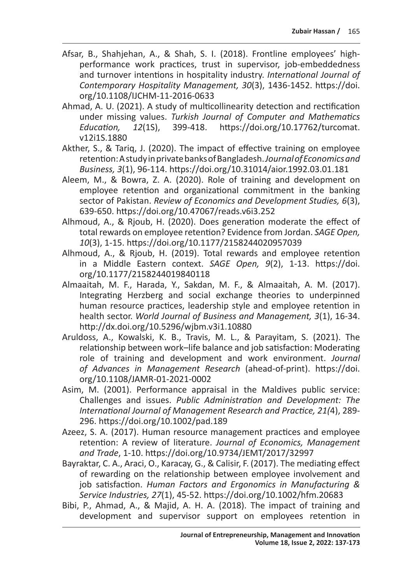- Afsar, B., Shahjehan, A., & Shah, S. I. (2018). Frontline employees' highperformance work practices, trust in supervisor, job-embeddedness and turnover intentions in hospitality industry. *International Journal of Contemporary Hospitality Management, 30*(3), 1436-1452. https://doi. org/10.1108/IJCHM-11-2016-0633
- Ahmad, A. U. (2021). A study of multicollinearity detection and rectification under missing values. *Turkish Journal of Computer and Mathematics*  https://doi.org/10.17762/turcomat. v12i1S.1880
- Akther, S., & Tariq, J. (2020). The impact of effective training on employee retention: Astudy in private banks of Bangladesh. *Journal of Economics and Business, 3*(1), 96-114. https://doi.org/10.31014/aior.1992.03.01.181
- Aleem, M., & Bowra, Z. A. (2020). Role of training and development on employee retention and organizational commitment in the banking sector of Pakistan. *Review of Economics and Development Studies, 6*(3), 639-650. https://doi.org/10.47067/reads.v6i3.252
- Alhmoud, A., & Rjoub, H. (2020). Does generation moderate the effect of total rewards on employee retention? Evidence from Jordan. *SAGE Open, 10*(3), 1-15. https://doi.org/10.1177/2158244020957039
- Alhmoud, A., & Rjoub, H. (2019). Total rewards and employee retention in a Middle Eastern context. *SAGE Open, 9*(2), 1-13. https://doi. org/10.1177/2158244019840118
- Almaaitah, M. F., Harada, Y., Sakdan, M. F., & Almaaitah, A. M. (2017). Integrating Herzberg and social exchange theories to underpinned human resource practices, leadership style and employee retention in health sector. *World Journal of Business and Management, 3*(1), 16-34. http://dx.doi.org/10.5296/wjbm.v3i1.10880
- Aruldoss, A., Kowalski, K. B., Travis, M. L., & Parayitam, S. (2021). The relationship between work–life balance and job satisfaction: Moderating role of training and development and work environment. *Journal of Advances in Management Research* (ahead-of-print). https://doi. org/10.1108/JAMR-01-2021-0002
- Asim, M. (2001). Performance appraisal in the Maldives public service: Challenges and issues. *Public Administration and Development: The International Journal of Management Research and Practice, 21(*4), 289- 296. https://doi.org/10.1002/pad.189
- Azeez, S. A. (2017). Human resource management practices and employee retention: A review of literature. *Journal of Economics, Management and Trade*, 1-10. https://doi.org/10.9734/JEMT/2017/32997
- Bayraktar, C. A., Araci, O., Karacay, G., & Calisir, F. (2017). The mediating effect of rewarding on the relationship between employee involvement and job satisfaction. *Human Factors and Ergonomics in Manufacturing & Service Industries, 27*(1), 45-52. https://doi.org/10.1002/hfm.20683
- Bibi, P., Ahmad, A., & Majid, A. H. A. (2018). The impact of training and development and supervisor support on employees retention in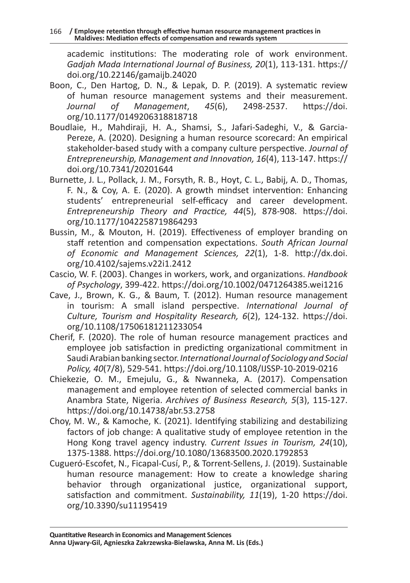academic institutions: The moderating role of work environment. *Gadjah Mada International Journal of Business, 20*(1), 113-131. https:// doi.org/10.22146/gamaijb.24020

- Boon, C., Den Hartog, D. N., & Lepak, D. P. (2019). A systematic review of human resource management systems and their measurement.<br>Journal of Management, 45(6), 2498-2537. https://doi. *Journal of Management*, *45*(6), 2498-2537. https://doi. org/10.1177/0149206318818718
- Boudlaie, H., Mahdiraji, H. A., Shamsi, S., Jafari-Sadeghi, V., & Garcia-Pereze, A. (2020). Designing a human resource scorecard: An empirical stakeholder-based study with a company culture perspective. *Journal of Entrepreneurship, Management and Innovation, 16*(4), 113-147. https:// doi.org/10.7341/20201644
- Burnette, J. L., Pollack, J. M., Forsyth, R. B., Hoyt, C. L., Babij, A. D., Thomas, F. N., & Coy, A. E. (2020). A growth mindset intervention: Enhancing students' entrepreneurial self-efficacy and career development. *Entrepreneurship Theory and Practice, 44*(5), 878-908. https://doi. org/10.1177/1042258719864293
- Bussin, M., & Mouton, H. (2019). Effectiveness of employer branding on staff retention and compensation expectations. *South African Journal of Economic and Management Sciences, 22*(1), 1-8. http://dx.doi. org/10.4102/sajems.v22i1.2412
- Cascio, W. F. (2003). Changes in workers, work, and organizations. *Handbook of Psychology*, 399-422. https://doi.org/10.1002/0471264385.wei1216
- Cave, J., Brown, K. G., & Baum, T. (2012). Human resource management in tourism: A small island perspective. *International Journal of Culture, Tourism and Hospitality Research, 6*(2), 124-132. https://doi. org/10.1108/17506181211233054
- Cherif, F. (2020). The role of human resource management practices and employee job satisfaction in predicting organizational commitment in Saudi Arabian banking sector. *International Journal of Sociology and Social Policy, 40*(7/8), 529-541. https://doi.org/10.1108/IJSSP-10-2019-0216
- Chiekezie, O. M., Emejulu, G., & Nwanneka, A. (2017). Compensation management and employee retention of selected commercial banks in Anambra State, Nigeria. *Archives of Business Research, 5*(3), 115-127. https://doi.org/10.14738/abr.53.2758
- Choy, M. W., & Kamoche, K. (2021). Identifying stabilizing and destabilizing factors of job change: A qualitative study of employee retention in the Hong Kong travel agency industry. *Current Issues in Tourism, 24*(10), 1375-1388. https://doi.org/10.1080/13683500.2020.1792853
- Cugueró-Escofet, N., Ficapal-Cusí, P., & Torrent-Sellens, J. (2019). Sustainable human resource management: How to create a knowledge sharing behavior through organizational justice, organizational support, satisfaction and commitment. *Sustainability, 11*(19), 1-20 https://doi. org/10.3390/su11195419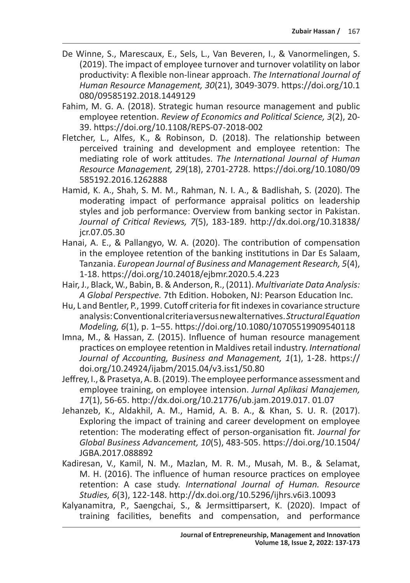- De Winne, S., Marescaux, E., Sels, L., Van Beveren, I., & Vanormelingen, S. (2019). The impact of employee turnover and turnover volatility on labor productivity: A flexible non-linear approach. *The International Journal of Human Resource Management, 30*(21), 3049-3079. https://doi.org/10.1 080/09585192.2018.1449129
- Fahim, M. G. A. (2018). Strategic human resource management and public employee retention. *Review of Economics and Political Science, 3*(2), 20- 39. https://doi.org/10.1108/REPS-07-2018-002
- Fletcher, L., Alfes, K., & Robinson, D. (2018). The relationship between perceived training and development and employee retention: The mediating role of work attitudes. *The International Journal of Human Resource Management, 29*(18), 2701-2728. https://doi.org/10.1080/09 585192.2016.1262888
- Hamid, K. A., Shah, S. M. M., Rahman, N. I. A., & Badlishah, S. (2020). The moderating impact of performance appraisal politics on leadership styles and job performance: Overview from banking sector in Pakistan. *Journal of Critical Reviews, 7*(5), 183-189. http://dx.doi.org/10.31838/ jcr.07.05.30
- Hanai, A. E., & Pallangyo, W. A. (2020). The contribution of compensation in the employee retention of the banking institutions in Dar Es Salaam, Tanzania. *European Journal of Business and Management Research, 5*(4), 1-18. https://doi.org/10.24018/ejbmr.2020.5.4.223
- Hair, J., Black, W., Babin, B. & Anderson, R., (2011). *Multivariate Data Analysis: A Global Perspective.* 7th Edition. Hoboken, NJ: Pearson Education Inc.
- Hu, L and Bentler, P., 1999. Cutoff criteria for fit indexes in covariance structure analysis: Conventional criteria versus new alternatives. *Structural Equation Modeling, 6*(1), p. 1–55. https://doi.org/10.1080/10705519909540118
- Imna, M., & Hassan, Z. (2015). Influence of human resource management practices on employee retention in Maldives retail industry. *International Journal of Accounting, Business and Management, 1*(1), 1-28. https:// doi.org/10.24924/ijabm/2015.04/v3.iss1/50.80
- Jeffrey, I., & Prasetya, A. B. (2019). The employee performance assessment and employee training, on employee intension. *Jurnal Aplikasi Manajemen, 17*(1), 56-65. http://dx.doi.org/10.21776/ub.jam.2019.017. 01.07
- Jehanzeb, K., Aldakhil, A. M., Hamid, A. B. A., & Khan, S. U. R. (2017). Exploring the impact of training and career development on employee retention: The moderating effect of person-organisation fit. *Journal for Global Business Advancement, 10*(5), 483-505. https://doi.org/10.1504/ JGBA.2017.088892
- Kadiresan, V., Kamil, N. M., Mazlan, M. R. M., Musah, M. B., & Selamat, M. H. (2016). The influence of human resource practices on employee retention: A case study. *International Journal of Human. Resource Studies, 6*(3), 122-148. http://dx.doi.org/10.5296/ijhrs.v6i3.10093
- Kalyanamitra, P., Saengchai, S., & Jermsittiparsert, K. (2020). Impact of training facilities, benefits and compensation, and performance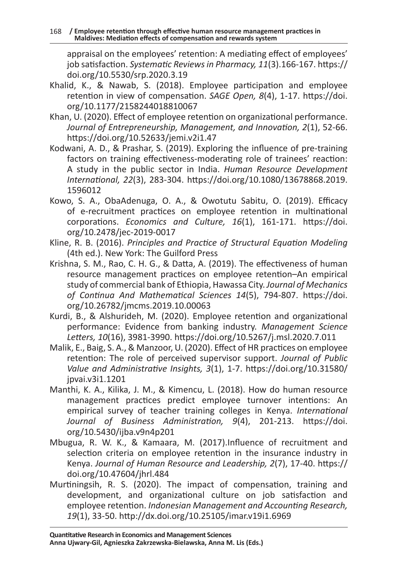appraisal on the employees' retention: A mediating effect of employees' job satisfaction. *Systematic Reviews in Pharmacy, 11*(3).166-167. https:// doi.org/10.5530/srp.2020.3.19

- Khalid, K., & Nawab, S. (2018). Employee participation and employee retention in view of compensation. *SAGE Open, 8*(4), 1-17. https://doi. org/10.1177/2158244018810067
- Khan, U. (2020). Effect of employee retention on organizational performance. *Journal of Entrepreneurship, Management, and Innovation, 2*(1), 52-66. https://doi.org/10.52633/jemi.v2i1.47
- Kodwani, A. D., & Prashar, S. (2019). Exploring the influence of pre-training factors on training effectiveness-moderating role of trainees' reaction: A study in the public sector in India. *Human Resource Development International, 22*(3), 283-304. https://doi.org/10.1080/13678868.2019. 1596012
- Kowo, S. A., ObaAdenuga, O. A., & Owotutu Sabitu, O. (2019). Efficacy of e-recruitment practices on employee retention in multinational corporations. *Economics and Culture, 16*(1), 161-171. https://doi. org/10.2478/jec-2019-0017
- Kline, R. B. (2016). *Principles and Practice of Structural Equation Modeling* (4th ed.). New York: The Guilford Press
- Krishna, S. M., Rao, C. H. G., & Datta, A. (2019). The effectiveness of human resource management practices on employee retention–An empirical study of commercial bank of Ethiopia, Hawassa City. *Journal of Mechanics of Continua And Mathematical Sciences 14*(5), 794-807. https://doi. org/10.26782/jmcms.2019.10.00063
- Kurdi, B., & Alshurideh, M. (2020). Employee retention and organizational performance: Evidence from banking industry. *Management Science Letters, 10*(16), 3981-3990. https://doi.org/10.5267/j.msl.2020.7.011
- Malik, E., Baig, S. A., & Manzoor, U. (2020). Effect of HR practices on employee retention: The role of perceived supervisor support. *Journal of Public Value and Administrative Insights, 3*(1), 1-7. https://doi.org/10.31580/ jpvai.v3i1.1201
- Manthi, K. A., Kilika, J. M., & Kimencu, L. (2018). How do human resource management practices predict employee turnover intentions: An empirical survey of teacher training colleges in Kenya. *International Journal of Business Administration, 9*(4), 201-213. https://doi. org/10.5430/ijba.v9n4p201
- Mbugua, R. W. K., & Kamaara, M. (2017).Influence of recruitment and selection criteria on employee retention in the insurance industry in Kenya. *Journal of Human Resource and Leadership, 2*(7), 17-40. https:// doi.org/10.47604/jhrl.484
- Murtiningsih, R. S. (2020). The impact of compensation, training and development, and organizational culture on job satisfaction and employee retention. *Indonesian Management and Accounting Research, 19*(1), 33-50. http://dx.doi.org/10.25105/imar.v19i1.6969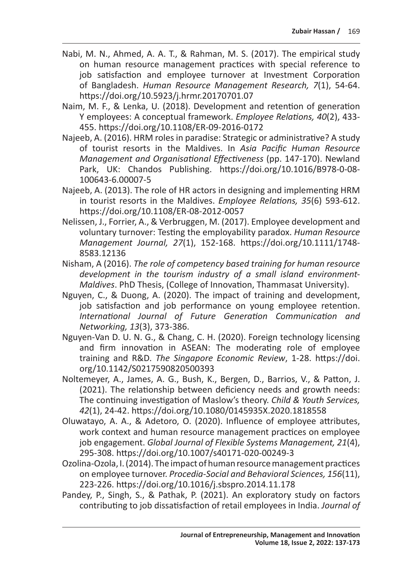- Nabi, M. N., Ahmed, A. A. T., & Rahman, M. S. (2017). The empirical study on human resource management practices with special reference to job satisfaction and employee turnover at Investment Corporation of Bangladesh. *Human Resource Management Research, 7*(1), 54-64. https://doi.org/10.5923/j.hrmr.20170701.07
- Naim, M. F., & Lenka, U. (2018). Development and retention of generation Y employees: A conceptual framework. *Employee Relations, 40*(2), 433- 455. https://doi.org/10.1108/ER-09-2016-0172
- Najeeb, A. (2016). HRM roles in paradise: Strategic or administrative? A study of tourist resorts in the Maldives. In *Asia Pacific Human Resource Management and Organisational Effectiveness* (pp. 147-170). Newland Park, UK: Chandos Publishing. https://doi.org/10.1016/B978-0-08- 100643-6.00007-5
- Najeeb, A. (2013). The role of HR actors in designing and implementing HRM in tourist resorts in the Maldives. *Employee Relations, 35*(6) 593-612. https://doi.org/10.1108/ER-08-2012-0057
- Nelissen, J., Forrier, A., & Verbruggen, M. (2017). Employee development and voluntary turnover: Testing the employability paradox. *Human Resource Management Journal, 27*(1), 152-168. https://doi.org/10.1111/1748- 8583.12136
- Nisham, A (2016). *The role of competency based training for human resource development in the tourism industry of a small island environment-Maldives*. PhD Thesis, (College of Innovation, Thammasat University).
- Nguyen, C., & Duong, A. (2020). The impact of training and development, job satisfaction and job performance on young employee retention. *International Journal of Future Generation Communication and Networking, 13*(3), 373-386.
- Nguyen-Van D. U. N. G., & Chang, C. H. (2020). Foreign technology licensing and firm innovation in ASEAN: The moderating role of employee training and R&D. *The Singapore Economic Review*, 1-28. https://doi. org/10.1142/S0217590820500393
- Noltemeyer, A., James, A. G., Bush, K., Bergen, D., Barrios, V., & Patton, J. (2021). The relationship between deficiency needs and growth needs: The continuing investigation of Maslow's theory. *Child & Youth Services, 42*(1), 24-42. https://doi.org/10.1080/0145935X.2020.1818558
- Oluwatayo, A. A., & Adetoro, O. (2020). Influence of employee attributes, work context and human resource management practices on employee job engagement. *Global Journal of Flexible Systems Management, 21*(4), 295-308. https://doi.org/10.1007/s40171-020-00249-3
- Ozolina-Ozola, I. (2014). The impact of human resource management practices on employee turnover. *Procedia-Social and Behavioral Sciences, 156*(11), 223-226. https://doi.org/10.1016/j.sbspro.2014.11.178
- Pandey, P., Singh, S., & Pathak, P. (2021). An exploratory study on factors contributing to job dissatisfaction of retail employees in India. *Journal of*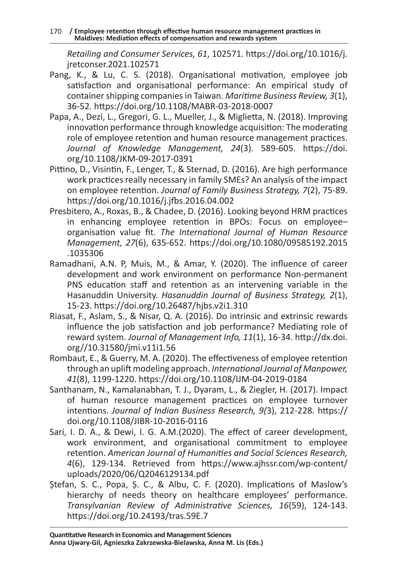170 **/ Employee retention through effective human resource management practices in Maldives: Mediation effects of compensation and rewards system** 

*Retailing and Consumer Services, 61*, 102571. https://doi.org/10.1016/j. jretconser.2021.102571

- Pang, K., & Lu, C. S. (2018). Organisational motivation, employee job satisfaction and organisational performance: An empirical study of container shipping companies in Taiwan. *Maritime Business Review, 3*(1), 36-52. https://doi.org/10.1108/MABR-03-2018-0007
- Papa, A., Dezi, L., Gregori, G. L., Mueller, J., & Miglietta, N. (2018). Improving innovation performance through knowledge acquisition: The moderating role of employee retention and human resource management practices. *Journal of Knowledge Management, 24*(3). 589-605. https://doi. org/10.1108/JKM-09-2017-0391
- Pittino, D., Visintin, F., Lenger, T., & Sternad, D. (2016). Are high performance work practices really necessary in family SMEs? An analysis of the impact on employee retention. *Journal of Family Business Strategy, 7*(2), 75-89. https://doi.org/10.1016/j.jfbs.2016.04.002
- Presbitero, A., Roxas, B., & Chadee, D. (2016). Looking beyond HRM practices in enhancing employee retention in BPOs: Focus on employee– organisation value fit. *The International Journal of Human Resource Management, 27*(6), 635-652. https://doi.org/10.1080/09585192.2015 .1035306
- Ramadhani, A.N. P, Muis, M., & Amar, Y. (2020). The influence of career development and work environment on performance Non-permanent PNS education staff and retention as an intervening variable in the Hasanuddin University. *Hasanuddin Journal of Business Strategy, 2*(1), 15-23. https://doi.org/10.26487/hjbs.v2i1.310
- Riasat, F., Aslam, S., & Nisar, Q. A. (2016). Do intrinsic and extrinsic rewards influence the job satisfaction and job performance? Mediating role of reward system. *Journal of Management Info, 11*(1), 16-34. http://dx.doi. org//10.31580/jmi.v11i1.56
- Rombaut, E., & Guerry, M. A. (2020). The effectiveness of employee retention through an uplift modeling approach. *International Journal of Manpower, 41*(8), 1199-1220. https://doi.org/10.1108/IJM-04-2019-0184
- Santhanam, N., Kamalanabhan, T. J., Dyaram, L., & Ziegler, H. (2017). Impact of human resource management practices on employee turnover intentions. *Journal of Indian Business Research, 9(*3), 212-228. https:// doi.org/10.1108/JIBR-10-2016-0116
- Sari, I. D. A., & Dewi, I. G. A.M.(2020). The effect of career development, work environment, and organisational commitment to employee retention. *American Journal of Humanities and Social Sciences Research, 4*(6), 129-134. Retrieved from https://www.ajhssr.com/wp-content/ uploads/2020/06/Q2046129134.pdf
- Ștefan, S. C., Popa, Ș. C., & Albu, C. F. (2020). Implications of Maslow's hierarchy of needs theory on healthcare employees' performance. *Transylvanian Review of Administrative Sciences, 16*(59), 124-143. https://doi.org/10.24193/tras.59E.7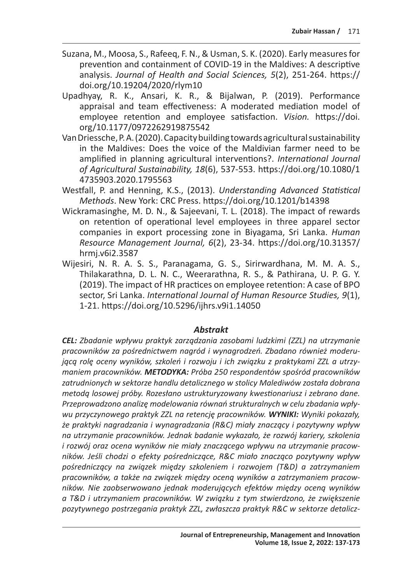- Suzana, M., Moosa, S., Rafeeq, F. N., & Usman, S. K. (2020). Early measures for prevention and containment of COVID-19 in the Maldives: A descriptive analysis. *Journal of Health and Social Sciences, 5*(2), 251-264. https:// doi.org/10.19204/2020/rlym10
- Upadhyay, R. K., Ansari, K. R., & Bijalwan, P. (2019). Performance appraisal and team effectiveness: A moderated mediation model of employee retention and employee satisfaction. *Vision.* https://doi. org/10.1177/0972262919875542
- Van Driessche, P. A. (2020). Capacity building towards agricultural sustainability in the Maldives: Does the voice of the Maldivian farmer need to be amplified in planning agricultural interventions?. *International Journal of Agricultural Sustainability, 18*(6), 537-553. https://doi.org/10.1080/1 4735903.2020.1795563
- Westfall, P. and Henning, K.S., (2013). *Understanding Advanced Statistical Methods*. New York: CRC Press. https://doi.org/10.1201/b14398
- Wickramasinghe, M. D. N., & Sajeevani, T. L. (2018). The impact of rewards on retention of operational level employees in three apparel sector companies in export processing zone in Biyagama, Sri Lanka. *Human Resource Management Journal, 6*(2), 23-34. https://doi.org/10.31357/ hrmj.v6i2.3587
- Wijesiri, N. R. A. S. S., Paranagama, G. S., Sirirwardhana, M. M. A. S., Thilakarathna, D. L. N. C., Weerarathna, R. S., & Pathirana, U. P. G. Y. (2019). The impact of HR practices on employee retention: A case of BPO sector, Sri Lanka. *International Journal of Human Resource Studies, 9*(1), 1-21. https://doi.org/10.5296/ijhrs.v9i1.14050

#### *Abstrakt*

*CEL: Zbadanie wpływu praktyk zarządzania zasobami ludzkimi (ZZL) na utrzymanie pracowników za pośrednictwem nagród i wynagrodzeń. Zbadano również moderującą rolę oceny wyników, szkoleń i rozwoju i ich związku z praktykami ZZL a utrzymaniem pracowników. METODYKA: Próba 250 respondentów spośród pracowników zatrudnionych w sektorze handlu detalicznego w stolicy Malediwów została dobrana metodą losowej próby. Rozesłano ustrukturyzowany kwestionariusz i zebrano dane. Przeprowadzono analizę modelowania równań strukturalnych w celu zbadania wpływu przyczynowego praktyk ZZL na retencję pracowników. WYNIKI: Wyniki pokazały, że praktyki nagradzania i wynagradzania (R&C) miały znaczący i pozytywny wpływ na utrzymanie pracowników. Jednak badanie wykazało, że rozwój kariery, szkolenia i rozwój oraz ocena wyników nie miały znaczącego wpływu na utrzymanie pracowników. Jeśli chodzi o efekty pośredniczące, R&C miało znacząco pozytywny wpływ pośredniczący na związek między szkoleniem i rozwojem (T&D) a zatrzymaniem pracowników, a także na związek między oceną wyników a zatrzymaniem pracowników. Nie zaobserwowano jednak moderujących efektów między oceną wyników a T&D i utrzymaniem pracowników. W związku z tym stwierdzono, że zwiększenie pozytywnego postrzegania praktyk ZZL, zwłaszcza praktyk R&C w sektorze detalicz-*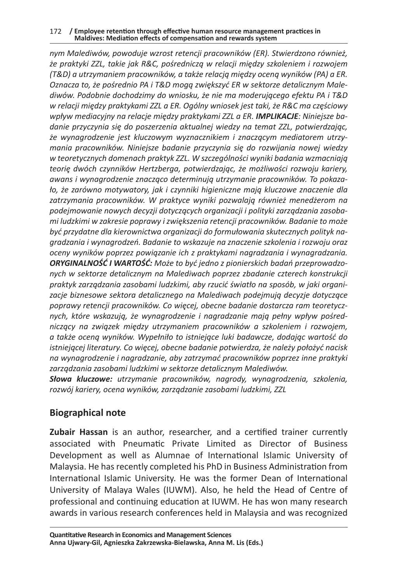#### 172 **/ Employee retention through effective human resource management practices in Maldives: Mediation effects of compensation and rewards system**

*nym Malediwów, powoduje wzrost retencji pracowników (ER). Stwierdzono również, że praktyki ZZL, takie jak R&C, pośredniczą w relacji między szkoleniem i rozwojem (T&D) a utrzymaniem pracowników, a także relacją między oceną wyników (PA) a ER. Oznacza to, że pośrednio PA i T&D mogą zwiększyć ER w sektorze detalicznym Malediwów. Podobnie dochodzimy do wniosku, że nie ma moderującego efektu PA i T&D w relacji między praktykami ZZL a ER. Ogólny wniosek jest taki, że R&C ma częściowy wpływ mediacyjny na relacje między praktykami ZZL a ER. IMPLIKACJE: Niniejsze badanie przyczynia się do poszerzenia aktualnej wiedzy na temat ZZL, potwierdzając, że wynagrodzenie jest kluczowym wyznacznikiem i znaczącym mediatorem utrzymania pracowników. Niniejsze badanie przyczynia się do rozwijania nowej wiedzy w teoretycznych domenach praktyk ZZL. W szczególności wyniki badania wzmacniają teorię dwóch czynników Hertzberga, potwierdzając, że możliwości rozwoju kariery, awans i wynagrodzenie znacząco determinują utrzymanie pracowników. To pokazało, że zarówno motywatory, jak i czynniki higieniczne mają kluczowe znaczenie dla zatrzymania pracowników. W praktyce wyniki pozwalają również menedżerom na podejmowanie nowych decyzji dotyczących organizacji i polityki zarządzania zasobami ludzkimi w zakresie poprawy i zwiększenia retencji pracowników. Badanie to może być przydatne dla kierownictwa organizacji do formułowania skutecznych polityk nagradzania i wynagrodzeń. Badanie to wskazuje na znaczenie szkolenia i rozwoju oraz oceny wyników poprzez powiązanie ich z praktykami nagradzania i wynagradzania. ORYGINALNOŚĆ I WARTOŚĆ: Może to być jedno z pionierskich badań przeprowadzonych w sektorze detalicznym na Malediwach poprzez zbadanie czterech konstrukcji praktyk zarządzania zasobami ludzkimi, aby rzucić światło na sposób, w jaki organizacje biznesowe sektora detalicznego na Malediwach podejmują decyzje dotyczące poprawy retencji pracowników. Co więcej, obecne badanie dostarcza ram teoretycznych, które wskazują, że wynagrodzenie i nagradzanie mają pełny wpływ pośredniczący na związek między utrzymaniem pracowników a szkoleniem i rozwojem, a także oceną wyników. Wypełniło to istniejące luki badawcze, dodając wartość do istniejącej literatury. Co więcej, obecne badanie potwierdza, że należy położyć nacisk na wynagrodzenie i nagradzanie, aby zatrzymać pracowników poprzez inne praktyki zarządzania zasobami ludzkimi w sektorze detalicznym Malediwów.* 

*Słowa kluczowe: utrzymanie pracowników, nagrody, wynagrodzenia, szkolenia, rozwój kariery, ocena wyników, zarządzanie zasobami ludzkimi, ZZL*

#### **Biographical note**

**Zubair Hassan** is an author, researcher, and a certified trainer currently associated with Pneumatic Private Limited as Director of Business Development as well as Alumnae of International Islamic University of Malaysia. He has recently completed his PhD in Business Administration from International Islamic University. He was the former Dean of International University of Malaya Wales (IUWM). Also, he held the Head of Centre of professional and continuing education at IUWM. He has won many research awards in various research conferences held in Malaysia and was recognized